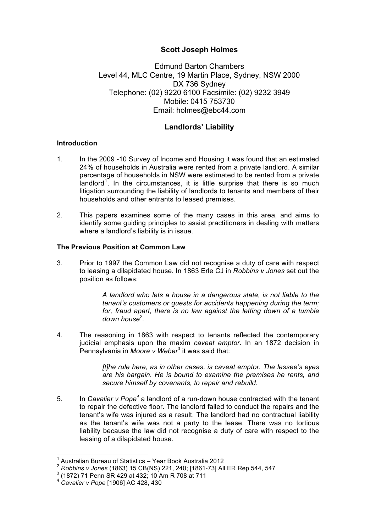## **Scott Joseph Holmes**

Edmund Barton Chambers Level 44, MLC Centre, 19 Martin Place, Sydney, NSW 2000 DX 736 Sydney Telephone: (02) 9220 6100 Facsimile: (02) 9232 3949 Mobile: 0415 753730 Email: holmes@ebc44.com

# **Landlords' Liability**

### **Introduction**

- 1. In the 2009 -10 Survey of Income and Housing it was found that an estimated 24% of households in Australia were rented from a private landlord. A similar percentage of households in NSW were estimated to be rented from a private landlord<sup>1</sup>. In the circumstances, it is little surprise that there is so much litigation surrounding the liability of landlords to tenants and members of their households and other entrants to leased premises.
- 2. This papers examines some of the many cases in this area, and aims to identify some guiding principles to assist practitioners in dealing with matters where a landlord's liability is in issue.

### **The Previous Position at Common Law**

3. Prior to 1997 the Common Law did not recognise a duty of care with respect to leasing a dilapidated house. In 1863 Erle CJ in *Robbins v Jones* set out the position as follows:

> *A landlord who lets a house in a dangerous state, is not liable to the tenant's customers or guests for accidents happening during the term; for, fraud apart, there is no law against the letting down of a tumble down house<sup>2</sup> .*

4. The reasoning in 1863 with respect to tenants reflected the contemporary judicial emphasis upon the maxim *caveat emptor*. In an 1872 decision in Pennsylvania in *Moore v Weber*<sup>3</sup> it was said that:

> *[t]he rule here, as in other cases, is caveat emptor. The lessee's eyes are his bargain. He is bound to examine the premises he rents, and secure himself by covenants, to repair and rebuild*.

5. In *Cavalier v Pope<sup>4</sup>* a landlord of a run-down house contracted with the tenant to repair the defective floor. The landlord failed to conduct the repairs and the tenant's wife was injured as a result. The landlord had no contractual liability as the tenant's wife was not a party to the lease. There was no tortious liability because the law did not recognise a duty of care with respect to the leasing of a dilapidated house.

 <sup>1</sup> Australian Bureau of Statistics – Year Book Australia 2012

<sup>&</sup>lt;sup>2</sup> *Robbins v Jones* (1863) 15 CB(NS) 221, 240; [1861-73] All ER Rep 544, 547<br><sup>3</sup> (1872) 71 Penn SR 429 at 432; 10 Am R 708 at 711<br><sup>4</sup> *Cavalier v Pope* [1906] AC 428, 430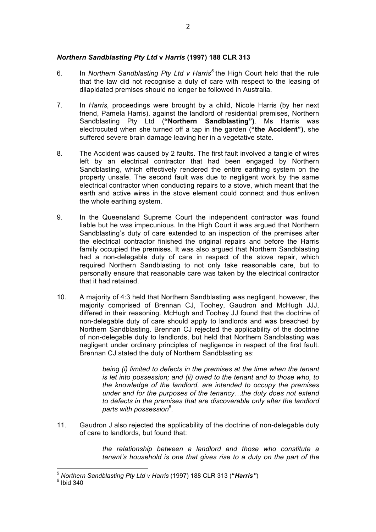## *Northern Sandblasting Pty Ltd* **v** *Harris* **(1997) 188 CLR 313**

- 6. In *Northern Sandblasting Pty Ltd v Harris<sup>5</sup>* the High Court held that the rule that the law did not recognise a duty of care with respect to the leasing of dilapidated premises should no longer be followed in Australia.
- 7. In *Harris,* proceedings were brought by a child, Nicole Harris (by her next friend, Pamela Harris), against the landlord of residential premises, Northern Sandblasting Pty Ltd (**"Northern Sandblasting")**. Ms Harris was electrocuted when she turned off a tap in the garden (**"the Accident")**, she suffered severe brain damage leaving her in a vegetative state.
- 8. The Accident was caused by 2 faults. The first fault involved a tangle of wires left by an electrical contractor that had been engaged by Northern Sandblasting, which effectively rendered the entire earthing system on the property unsafe. The second fault was due to negligent work by the same electrical contractor when conducting repairs to a stove, which meant that the earth and active wires in the stove element could connect and thus enliven the whole earthing system.
- 9. In the Queensland Supreme Court the independent contractor was found liable but he was impecunious. In the High Court it was argued that Northern Sandblasting's duty of care extended to an inspection of the premises after the electrical contractor finished the original repairs and before the Harris family occupied the premises. It was also argued that Northern Sandblasting had a non-delegable duty of care in respect of the stove repair, which required Northern Sandblasting to not only take reasonable care, but to personally ensure that reasonable care was taken by the electrical contractor that it had retained.
- 10. A majority of 4:3 held that Northern Sandblasting was negligent, however, the majority comprised of Brennan CJ, Toohey, Gaudron and McHugh JJJ, differed in their reasoning. McHugh and Toohey JJ found that the doctrine of non-delegable duty of care should apply to landlords and was breached by Northern Sandblasting. Brennan CJ rejected the applicability of the doctrine of non-delegable duty to landlords, but held that Northern Sandblasting was negligent under ordinary principles of negligence in respect of the first fault. Brennan CJ stated the duty of Northern Sandblasting as:

*being (i) limited to defects in the premises at the time when the tenant is let into possession; and (ii) owed to the tenant and to those who, to the knowledge of the landlord, are intended to occupy the premises under and for the purposes of the tenancy…the duty does not extend to defects in the premises that are discoverable only after the landlord parts with possession*<sup>6</sup> *.*

11. Gaudron J also rejected the applicability of the doctrine of non-delegable duty of care to landlords, but found that:

> *the relationship between a landlord and those who constitute a tenant's household is one that gives rise to a duty on the part of the*

 <sup>5</sup> *Northern Sandblasting Pty Ltd v Harris* (1997) 188 CLR 313 (**"***Harris"*) <sup>6</sup> Ibid 340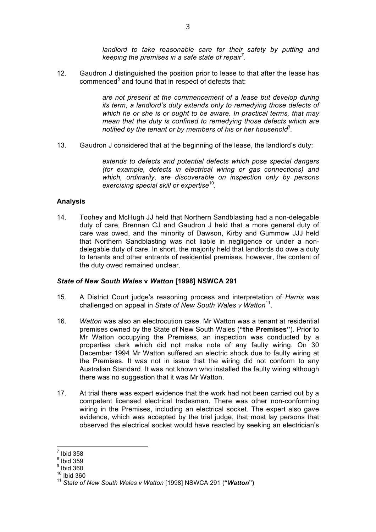*landlord to take reasonable care for their safety by putting and keeping the premises in a safe state of repair<sup>7</sup> .*

12. Gaudron J distinguished the position prior to lease to that after the lease has  $comp, compared\,8$  and found that in respect of defects that:

> *are not present at the commencement of a lease but develop during its term, a landlord's duty extends only to remedying those defects of which he or she is or ought to be aware. In practical terms, that may mean that the duty is confined to remedying those defects which are notified by the tenant or by members of his or her household*<sup>9</sup> *.*

13. Gaudron J considered that at the beginning of the lease, the landlord's duty:

*extends to defects and potential defects which pose special dangers (for example, defects in electrical wiring or gas connections) and which, ordinarily, are discoverable on inspection only by persons exercising special skill or expertise*<sup>10</sup>*.*

#### **Analysis**

14. Toohey and McHugh JJ held that Northern Sandblasting had a non-delegable duty of care, Brennan CJ and Gaudron J held that a more general duty of care was owed, and the minority of Dawson, Kirby and Gummow JJJ held that Northern Sandblasting was not liable in negligence or under a nondelegable duty of care. In short, the majority held that landlords do owe a duty to tenants and other entrants of residential premises, however, the content of the duty owed remained unclear.

#### *State of New South Wales* **v** *Watton* **[1998] NSWCA 291**

- 15. A District Court judge's reasoning process and interpretation of *Harris* was challenged on appeal in *State of New South Wales v Watton*11.
- 16. *Watton* was also an electrocution case. Mr Watton was a tenant at residential premises owned by the State of New South Wales (**"the Premises"**). Prior to Mr Watton occupying the Premises, an inspection was conducted by a properties clerk which did not make note of any faulty wiring. On 30 December 1994 Mr Watton suffered an electric shock due to faulty wiring at the Premises. It was not in issue that the wiring did not conform to any Australian Standard. It was not known who installed the faulty wiring although there was no suggestion that it was Mr Watton.
- 17. At trial there was expert evidence that the work had not been carried out by a competent licensed electrical tradesman. There was other non-conforming wiring in the Premises, including an electrical socket. The expert also gave evidence, which was accepted by the trial judge, that most lay persons that observed the electrical socket would have reacted by seeking an electrician's

 $<sup>7</sup>$  Ibid 358</sup>

 $8$  Ibid 359

 $9$  Ibid 360

 $10$  Ibid 360

<sup>11</sup> *State of New South Wales v Watton* [1998] NSWCA 291 (**"***Watton***")**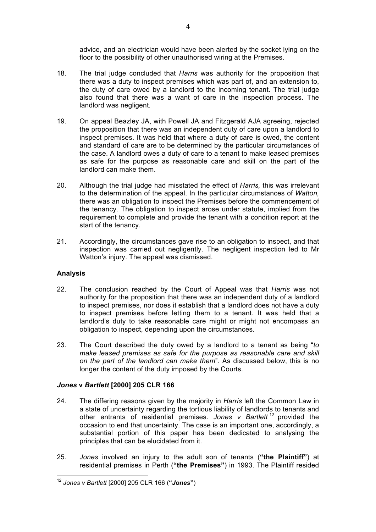advice, and an electrician would have been alerted by the socket lying on the floor to the possibility of other unauthorised wiring at the Premises.

- 18. The trial judge concluded that *Harris* was authority for the proposition that there was a duty to inspect premises which was part of, and an extension to, the duty of care owed by a landlord to the incoming tenant. The trial judge also found that there was a want of care in the inspection process. The landlord was negligent.
- 19. On appeal Beazley JA, with Powell JA and Fitzgerald AJA agreeing, rejected the proposition that there was an independent duty of care upon a landlord to inspect premises. It was held that where a duty of care is owed, the content and standard of care are to be determined by the particular circumstances of the case. A landlord owes a duty of care to a tenant to make leased premises as safe for the purpose as reasonable care and skill on the part of the landlord can make them.
- 20. Although the trial judge had misstated the effect of *Harris,* this was irrelevant to the determination of the appeal. In the particular circumstances of *Watton,* there was an obligation to inspect the Premises before the commencement of the tenancy. The obligation to inspect arose under statute, implied from the requirement to complete and provide the tenant with a condition report at the start of the tenancy.
- 21. Accordingly, the circumstances gave rise to an obligation to inspect, and that inspection was carried out negligently. The negligent inspection led to Mr Watton's injury. The appeal was dismissed.

## **Analysis**

- 22. The conclusion reached by the Court of Appeal was that *Harris* was not authority for the proposition that there was an independent duty of a landlord to inspect premises, nor does it establish that a landlord does not have a duty to inspect premises before letting them to a tenant. It was held that a landlord's duty to take reasonable care might or might not encompass an obligation to inspect, depending upon the circumstances.
- 23. The Court described the duty owed by a landlord to a tenant as being "*to make leased premises as safe for the purpose as reasonable care and skill on the part of the landlord can make them*". As discussed below, this is no longer the content of the duty imposed by the Courts.

## *Jones* **v** *Bartlett* **[2000] 205 CLR 166**

- 24. The differing reasons given by the majority in *Harris* left the Common Law in a state of uncertainty regarding the tortious liability of landlords to tenants and other entrants of residential premises. *Jones v Bartlett* <sup>12</sup> provided the occasion to end that uncertainty. The case is an important one, accordingly, a substantial portion of this paper has been dedicated to analysing the principles that can be elucidated from it.
- 25. *Jones* involved an injury to the adult son of tenants (**"the Plaintiff"**) at residential premises in Perth (**"the Premises"**) in 1993. The Plaintiff resided

 <sup>12</sup> *Jones v Bartlett* [2000] 205 CLR 166 (**"***Jones***"**)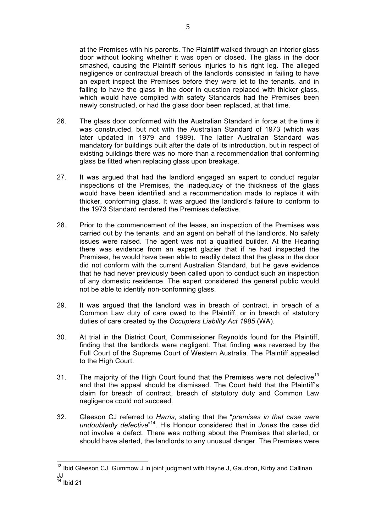at the Premises with his parents. The Plaintiff walked through an interior glass door without looking whether it was open or closed. The glass in the door smashed, causing the Plaintiff serious injuries to his right leg. The alleged negligence or contractual breach of the landlords consisted in failing to have an expert inspect the Premises before they were let to the tenants, and in failing to have the glass in the door in question replaced with thicker glass, which would have complied with safety Standards had the Premises been newly constructed, or had the glass door been replaced, at that time.

- 26. The glass door conformed with the Australian Standard in force at the time it was constructed, but not with the Australian Standard of 1973 (which was later updated in 1979 and 1989). The latter Australian Standard was mandatory for buildings built after the date of its introduction, but in respect of existing buildings there was no more than a recommendation that conforming glass be fitted when replacing glass upon breakage.
- 27. It was argued that had the landlord engaged an expert to conduct regular inspections of the Premises, the inadequacy of the thickness of the glass would have been identified and a recommendation made to replace it with thicker, conforming glass. It was argued the landlord's failure to conform to the 1973 Standard rendered the Premises defective.
- 28. Prior to the commencement of the lease, an inspection of the Premises was carried out by the tenants, and an agent on behalf of the landlords. No safety issues were raised. The agent was not a qualified builder. At the Hearing there was evidence from an expert glazier that if he had inspected the Premises, he would have been able to readily detect that the glass in the door did not conform with the current Australian Standard, but he gave evidence that he had never previously been called upon to conduct such an inspection of any domestic residence. The expert considered the general public would not be able to identify non-conforming glass.
- 29. It was argued that the landlord was in breach of contract, in breach of a Common Law duty of care owed to the Plaintiff, or in breach of statutory duties of care created by the *Occupiers Liability Act 1985* (WA).
- 30. At trial in the District Court, Commissioner Reynolds found for the Plaintiff, finding that the landlords were negligent. That finding was reversed by the Full Court of the Supreme Court of Western Australia. The Plaintiff appealed to the High Court.
- 31. The majority of the High Court found that the Premises were not defective<sup>13</sup> and that the appeal should be dismissed. The Court held that the Plaintiff's claim for breach of contract, breach of statutory duty and Common Law negligence could not succeed.
- 32. Gleeson CJ referred to *Harris*, stating that the "*premises in that case were undoubtedly defective*" 14. His Honour considered that in *Jones* the case did not involve a defect. There was nothing about the Premises that alerted, or should have alerted, the landlords to any unusual danger. The Premises were

<sup>&</sup>lt;sup>13</sup> Ibid Gleeson CJ. Gummow J in joint judgment with Hayne J, Gaudron, Kirby and Callinan JJ  $14$  Ibid 21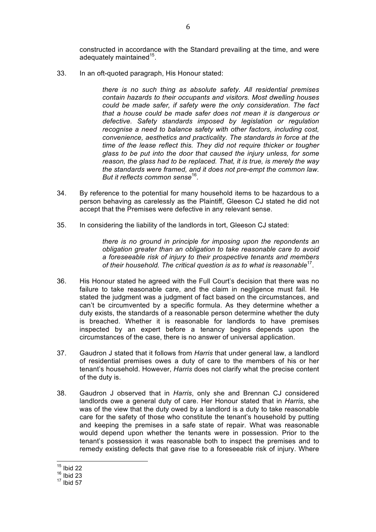constructed in accordance with the Standard prevailing at the time, and were adequately maintained $15$ .

33. In an oft-quoted paragraph, His Honour stated:

*there is no such thing as absolute safety. All residential premises contain hazards to their occupants and visitors. Most dwelling houses could be made safer, if safety were the only consideration. The fact that a house could be made safer does not mean it is dangerous or defective. Safety standards imposed by legislation or regulation recognise a need to balance safety with other factors, including cost, convenience, aesthetics and practicality. The standards in force at the time of the lease reflect this. They did not require thicker or tougher glass to be put into the door that caused the injury unless, for some reason, the glass had to be replaced. That, it is true, is merely the way the standards were framed, and it does not pre-empt the common law. But it reflects common sense*16.

- 34. By reference to the potential for many household items to be hazardous to a person behaving as carelessly as the Plaintiff, Gleeson CJ stated he did not accept that the Premises were defective in any relevant sense.
- 35. In considering the liability of the landlords in tort, Gleeson CJ stated:

*there is no ground in principle for imposing upon the repondents an obligation greater than an obligation to take reasonable care to avoid a foreseeable risk of injury to their prospective tenants and members of their household. The critical question is as to what is reasonable*17.

- 36. His Honour stated he agreed with the Full Court's decision that there was no failure to take reasonable care, and the claim in negligence must fail. He stated the judgment was a judgment of fact based on the circumstances, and can't be circumvented by a specific formula. As they determine whether a duty exists, the standards of a reasonable person determine whether the duty is breached. Whether it is reasonable for landlords to have premises inspected by an expert before a tenancy begins depends upon the circumstances of the case, there is no answer of universal application.
- 37. Gaudron J stated that it follows from *Harris* that under general law, a landlord of residential premises owes a duty of care to the members of his or her tenant's household. However, *Harris* does not clarify what the precise content of the duty is.
- 38. Gaudron J observed that in *Harris*, only she and Brennan CJ considered landlords owe a general duty of care. Her Honour stated that in *Harris*, she was of the view that the duty owed by a landlord is a duty to take reasonable care for the safety of those who constitute the tenant's household by putting and keeping the premises in a safe state of repair. What was reasonable would depend upon whether the tenants were in possession. Prior to the tenant's possession it was reasonable both to inspect the premises and to remedy existing defects that gave rise to a foreseeable risk of injury. Where

 $15$  Ibid 22

 $16$  Ibid 23

 $17$  Ibid 57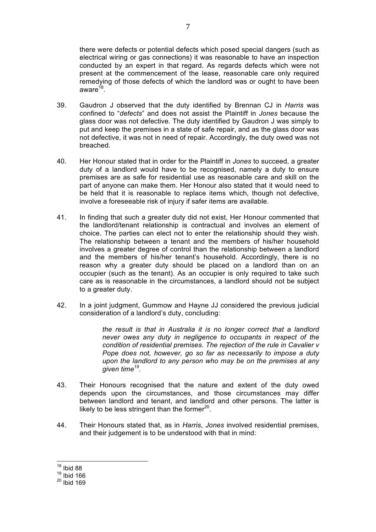there were defects or potential defects which posed special dangers (such as electrical wiring or gas connections) it was reasonable to have an inspection conducted by an expert in that regard. As regards defects which were not present at the commencement of the lease, reasonable care only required remedying of those defects of which the landlord was or ought to have been aware $^{18}$ .

- 39. Gaudron J observed that the duty identified by Brennan CJ in *Harris* was confined to "*defects*" and does not assist the Plaintiff in *Jones* because the glass door was not defective. The duty identified by Gaudron J was simply to put and keep the premises in a state of safe repair, and as the glass door was not defective, it was not in need of repair. Accordingly, the duty owed was not breached.
- 40. Her Honour stated that in order for the Plaintiff in *Jones* to succeed, a greater duty of a landlord would have to be recognised, namely a duty to ensure premises are as safe for residential use as reasonable care and skill on the part of anyone can make them. Her Honour also stated that it would need to be held that it is reasonable to replace items which, though not defective, involve a foreseeable risk of injury if safer items are available.
- 41. In finding that such a greater duty did not exist, Her Honour commented that the landlord/tenant relationship is contractual and involves an element of choice. The parties can elect not to enter the relationship should they wish. The relationship between a tenant and the members of his/her household involves a greater degree of control than the relationship between a landlord and the members of his/her tenant's household. Accordingly, there is no reason why a greater duty should be placed on a landlord than on an occupier (such as the tenant). As an occupier is only required to take such care as is reasonable in the circumstances, a landlord should not be subject to a greater duty.
- 42. In a joint judgment, Gummow and Hayne JJ considered the previous judicial consideration of a landlord's duty, concluding:

*the result is that in Australia it is no longer correct that a landlord never owes any duty in negligence to occupants in respect of the condition of residential premises. The rejection of the rule in Cavalier v Pope does not, however, go so far as necessarily to impose a duty upon the landlord to any person who may be on the premises at any given time19.* 

- 43. Their Honours recognised that the nature and extent of the duty owed depends upon the circumstances, and those circumstances may differ between landlord and tenant, and landlord and other persons. The latter is likely to be less stringent than the former $20$ .
- 44. Their Honours stated that, as in *Harris*, *Jones* involved residential premises, and their judgement is to be understood with that in mind:

 <sup>18</sup> Ibid 88

 $19$  Ibid 166

 $^{20}$  Ibid 169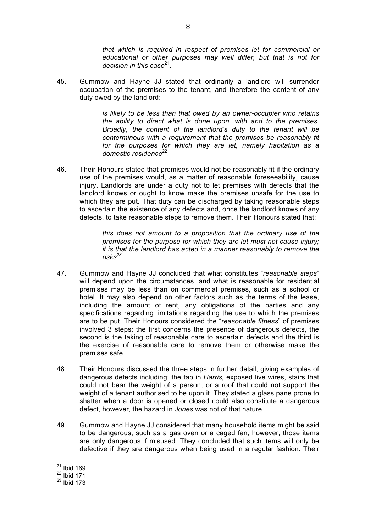*that which is required in respect of premises let for commercial or educational or other purposes may well differ, but that is not for decision in this case*21.

45. Gummow and Hayne JJ stated that ordinarily a landlord will surrender occupation of the premises to the tenant, and therefore the content of any duty owed by the landlord:

> *is likely to be less than that owed by an owner-occupier who retains the ability to direct what is done upon, with and to the premises. Broadly, the content of the landlord's duty to the tenant will be conterminous with a requirement that the premises be reasonably fit for the purposes for which they are let, namely habitation as a*  domestic residence<sup>22</sup>.

46. Their Honours stated that premises would not be reasonably fit if the ordinary use of the premises would, as a matter of reasonable foreseeability, cause injury. Landlords are under a duty not to let premises with defects that the landlord knows or ought to know make the premises unsafe for the use to which they are put. That duty can be discharged by taking reasonable steps to ascertain the existence of any defects and, once the landlord knows of any defects, to take reasonable steps to remove them. Their Honours stated that:

> *this does not amount to a proposition that the ordinary use of the premises for the purpose for which they are let must not cause injury; it is that the landlord has acted in a manner reasonably to remove the risks23.*

- 47. Gummow and Hayne JJ concluded that what constitutes "*reasonable steps*" will depend upon the circumstances, and what is reasonable for residential premises may be less than on commercial premises, such as a school or hotel. It may also depend on other factors such as the terms of the lease, including the amount of rent, any obligations of the parties and any specifications regarding limitations regarding the use to which the premises are to be put. Their Honours considered the "*reasonable fitness*" of premises involved 3 steps; the first concerns the presence of dangerous defects, the second is the taking of reasonable care to ascertain defects and the third is the exercise of reasonable care to remove them or otherwise make the premises safe.
- 48. Their Honours discussed the three steps in further detail, giving examples of dangerous defects including; the tap in *Harris,* exposed live wires, stairs that could not bear the weight of a person, or a roof that could not support the weight of a tenant authorised to be upon it. They stated a glass pane prone to shatter when a door is opened or closed could also constitute a dangerous defect, however, the hazard in *Jones* was not of that nature.
- 49. Gummow and Hayne JJ considered that many household items might be said to be dangerous, such as a gas oven or a caged fan, however, those items are only dangerous if misused. They concluded that such items will only be defective if they are dangerous when being used in a regular fashion. Their

 $21$  Ibid 169

 $^{22}$  Ibid 171

<sup>23</sup> Ibid 173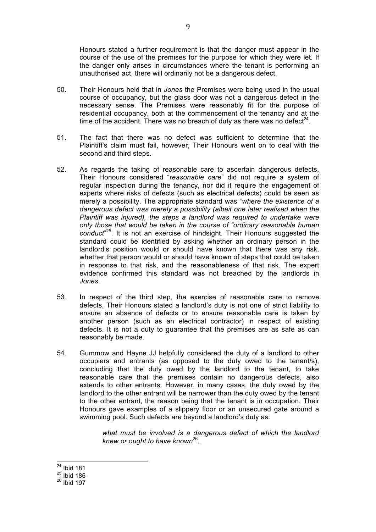Honours stated a further requirement is that the danger must appear in the course of the use of the premises for the purpose for which they were let. If the danger only arises in circumstances where the tenant is performing an unauthorised act, there will ordinarily not be a dangerous defect.

- 50. Their Honours held that in *Jones* the Premises were being used in the usual course of occupancy, but the glass door was not a dangerous defect in the necessary sense. The Premises were reasonably fit for the purpose of residential occupancy, both at the commencement of the tenancy and at the time of the accident. There was no breach of duty as there was no defect<sup>24</sup>.
- 51. The fact that there was no defect was sufficient to determine that the Plaintiff's claim must fail, however, Their Honours went on to deal with the second and third steps.
- 52. As regards the taking of reasonable care to ascertain dangerous defects, Their Honours considered "*reasonable care*" did not require a system of regular inspection during the tenancy, nor did it require the engagement of experts where risks of defects (such as electrical defects) could be seen as merely a possibility. The appropriate standard was "*where the existence of a dangerous defect was merely a possibility (albeit one later realised when the Plaintiff was injured), the steps a landlord was required to undertake were only those that would be taken in the course of "ordinary reasonable human conduct*" 25. It is not an exercise of hindsight. Their Honours suggested the standard could be identified by asking whether an ordinary person in the landlord's position would or should have known that there was any risk, whether that person would or should have known of steps that could be taken in response to that risk, and the reasonableness of that risk. The expert evidence confirmed this standard was not breached by the landlords in *Jones*.
- 53. In respect of the third step, the exercise of reasonable care to remove defects, Their Honours stated a landlord's duty is not one of strict liability to ensure an absence of defects or to ensure reasonable care is taken by another person (such as an electrical contractor) in respect of existing defects. It is not a duty to guarantee that the premises are as safe as can reasonably be made.
- 54. Gummow and Hayne JJ helpfully considered the duty of a landlord to other occupiers and entrants (as opposed to the duty owed to the tenant/s), concluding that the duty owed by the landlord to the tenant, to take reasonable care that the premises contain no dangerous defects, also extends to other entrants. However, in many cases, the duty owed by the landlord to the other entrant will be narrower than the duty owed by the tenant to the other entrant, the reason being that the tenant is in occupation. Their Honours gave examples of a slippery floor or an unsecured gate around a swimming pool. Such defects are beyond a landlord's duty as:

*what must be involved is a dangerous defect of which the landlord knew or ought to have known*26.

 $24$  Ibid 181

 $25$  Ibid 186

 $26$  Ibid 197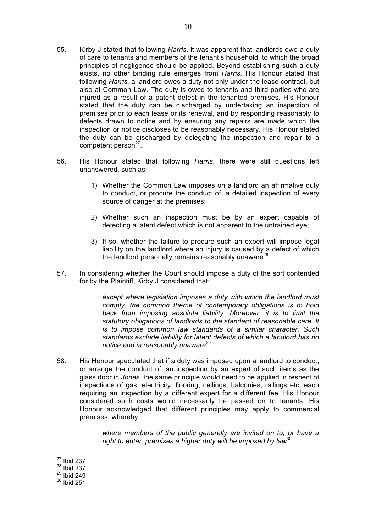- 55. Kirby J stated that following *Harris*, it was apparent that landlords owe a duty of care to tenants and members of the tenant's household, to which the broad principles of negligence should be applied. Beyond establishing such a duty exists, no other binding rule emerges from *Harris*. His Honour stated that following *Harris*, a landlord owes a duty not only under the lease contract, but also at Common Law. The duty is owed to tenants and third parties who are injured as a result of a patent defect in the tenanted premises. His Honour stated that the duty can be discharged by undertaking an inspection of premises prior to each lease or its renewal, and by responding reasonably to defects drawn to notice and by ensuring any repairs are made which the inspection or notice discloses to be reasonably necessary. His Honour stated the duty can be discharged by delegating the inspection and repair to a competent person $27$ .
- 56. His Honour stated that following *Harris*, there were still questions left unanswered, such as;
	- 1) Whether the Common Law imposes on a landlord an affirmative duty to conduct, or procure the conduct of, a detailed inspection of every source of danger at the premises;
	- 2) Whether such an inspection must be by an expert capable of detecting a latent defect which is not apparent to the untrained eye;
	- 3) If so, whether the failure to procure such an expert will impose legal liability on the landlord where an injury is caused by a defect of which the landlord personally remains reasonably unaware<sup>28</sup>.
- 57. In considering whether the Court should impose a duty of the sort contended for by the Plaintiff, Kirby J considered that:

*except where legislation imposes a duty with which the landlord must comply, the common theme of contemporary obligations is to hold back from imposing absolute liability. Moreover, it is to limit the statutory obligations of landlords to the standard of reasonable care. It is to impose common law standards of a similar character. Such standards exclude liability for latent defects of which a landlord has no notice and is reasonably unaware*29.

58. His Honour speculated that if a duty was imposed upon a landlord to conduct, or arrange the conduct of, an inspection by an expert of such items as the glass door in *Jones,* the same principle would need to be applied in respect of inspections of gas, electricity, flooring, ceilings, balconies, railings etc, each requiring an inspection by a different expert for a different fee. His Honour considered such costs would necessarily be passed on to tenants. His Honour acknowledged that different principles may apply to commercial premises, whereby:

> *where members of the public generally are invited on to, or have a right to enter, premises a higher duty will be imposed by law*30.

 <sup>27</sup> Ibid 237

 $28$  Ibid 237

 $^{29}$  Ibid 249

 $30$  Ibid 251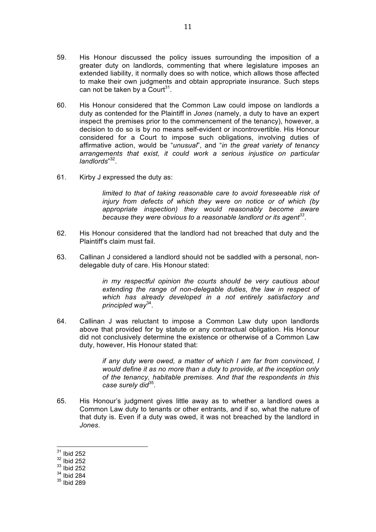- 59. His Honour discussed the policy issues surrounding the imposition of a greater duty on landlords, commenting that where legislature imposes an extended liability, it normally does so with notice, which allows those affected to make their own judgments and obtain appropriate insurance. Such steps can not be taken by a Court<sup>31</sup>.
- 60. His Honour considered that the Common Law could impose on landlords a duty as contended for the Plaintiff in *Jones* (namely, a duty to have an expert inspect the premises prior to the commencement of the tenancy), however, a decision to do so is by no means self-evident or incontrovertible. His Honour considered for a Court to impose such obligations, involving duties of affirmative action, would be "*unusual*", and "*in the great variety of tenancy arrangements that exist, it could work a serious injustice on particular landlords*" 32.
- 61. Kirby J expressed the duty as:

*limited to that of taking reasonable care to avoid foreseeable risk of injury from defects of which they were on notice or of which (by appropriate inspection) they would reasonably become aware*  because they were obvious to a reasonable landlord or its agent<sup>33</sup>.

- 62. His Honour considered that the landlord had not breached that duty and the Plaintiff's claim must fail.
- 63. Callinan J considered a landlord should not be saddled with a personal, nondelegable duty of care. His Honour stated:

*in my respectful opinion the courts should be very cautious about extending the range of non-delegable duties, the law in respect of which has already developed in a not entirely satisfactory and principled way*34.

64. Callinan J was reluctant to impose a Common Law duty upon landlords above that provided for by statute or any contractual obligation. His Honour did not conclusively determine the existence or otherwise of a Common Law duty, however, His Honour stated that:

> *if any duty were owed, a matter of which I am far from convinced, I would define it as no more than a duty to provide, at the inception only of the tenancy, habitable premises. And that the respondents in this case surely did*35.

- 65. His Honour's judgment gives little away as to whether a landlord owes a Common Law duty to tenants or other entrants, and if so, what the nature of that duty is. Even if a duty was owed, it was not breached by the landlord in *Jones*.
- $31$  Ibid 252
- $32$  Ibid 252
- $33$  Ibid 252
- $34$  Ibid 284
- $35$  Ibid 289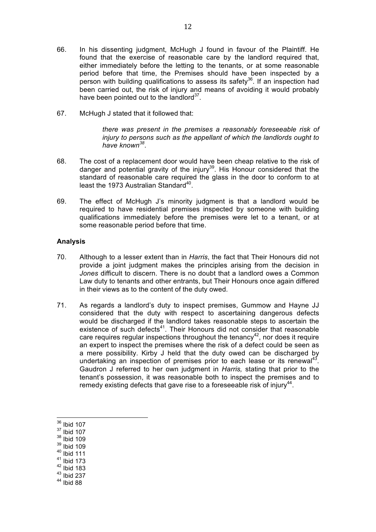- 66. In his dissenting judgment, McHugh J found in favour of the Plaintiff. He found that the exercise of reasonable care by the landlord required that, either immediately before the letting to the tenants, or at some reasonable period before that time, the Premises should have been inspected by a person with building qualifications to assess its safety<sup>36</sup>. If an inspection had been carried out, the risk of injury and means of avoiding it would probably have been pointed out to the landlord $37$ .
- 67. McHugh J stated that it followed that:

*there was present in the premises a reasonably foreseeable risk of injury to persons such as the appellant of which the landlords ought to have known<sup>38</sup>*.

- 68. The cost of a replacement door would have been cheap relative to the risk of danger and potential gravity of the injury<sup>39</sup>. His Honour considered that the standard of reasonable care required the glass in the door to conform to at least the 1973 Australian Standard<sup>40</sup>.
- 69. The effect of McHugh J's minority judgment is that a landlord would be required to have residential premises inspected by someone with building qualifications immediately before the premises were let to a tenant, or at some reasonable period before that time.

#### **Analysis**

- 70. Although to a lesser extent than in *Harris*, the fact that Their Honours did not provide a joint judgment makes the principles arising from the decision in *Jones* difficult to discern. There is no doubt that a landlord owes a Common Law duty to tenants and other entrants, but Their Honours once again differed in their views as to the content of the duty owed.
- 71. As regards a landlord's duty to inspect premises, Gummow and Hayne JJ considered that the duty with respect to ascertaining dangerous defects would be discharged if the landlord takes reasonable steps to ascertain the existence of such defects<sup>41</sup>. Their Honours did not consider that reasonable care requires regular inspections throughout the tenancy<sup>42</sup>, nor does it require an expert to inspect the premises where the risk of a defect could be seen as a mere possibility. Kirby J held that the duty owed can be discharged by undertaking an inspection of premises prior to each lease or its renewal<sup>43</sup>. Gaudron J referred to her own judgment in *Harris,* stating that prior to the tenant's possession, it was reasonable both to inspect the premises and to remedy existing defects that gave rise to a fore seeable risk of injury<sup>44</sup>.

- <sup>37</sup> Ibid 107
- <sup>38</sup> Ibid 109
- <sup>39</sup> Ibid 109
- $40$  Ibid 111
- $41$  Ibid 173
- $42$  Ibid 183
- <sup>43</sup> Ibid 237
- $44$  Ibid 88

 <sup>36</sup> Ibid 107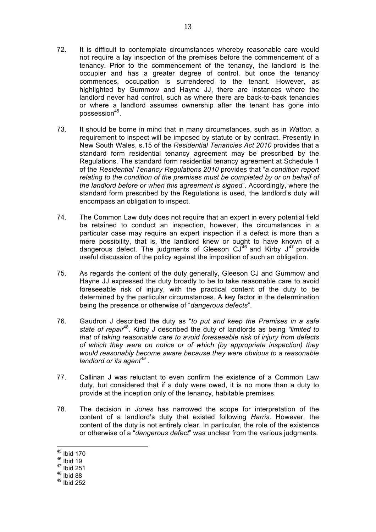- 72. It is difficult to contemplate circumstances whereby reasonable care would not require a lay inspection of the premises before the commencement of a tenancy. Prior to the commencement of the tenancy, the landlord is the occupier and has a greater degree of control, but once the tenancy commences, occupation is surrendered to the tenant. However, as highlighted by Gummow and Hayne JJ, there are instances where the landlord never had control, such as where there are back-to-back tenancies or where a landlord assumes ownership after the tenant has gone into possession<sup>45</sup>.
- 73. It should be borne in mind that in many circumstances, such as in *Watton*, a requirement to inspect will be imposed by statute or by contract. Presently in New South Wales, s.15 of the *Residential Tenancies Act 2010* provides that a standard form residential tenancy agreement may be prescribed by the Regulations. The standard form residential tenancy agreement at Schedule 1 of the *Residential Tenancy Regulations 2010* provides that "*a condition report relating to the condition of the premises must be completed by or on behalf of the landlord before or when this agreement is signed*". Accordingly, where the standard form prescribed by the Regulations is used, the landlord's duty will encompass an obligation to inspect.
- 74. The Common Law duty does not require that an expert in every potential field be retained to conduct an inspection, however, the circumstances in a particular case may require an expert inspection if a defect is more than a mere possibility, that is, the landlord knew or ought to have known of a dangerous defect. The judgments of Gleeson  $\mathrm{CJ}^{46}$  and Kirby  $\mathrm{J}^{47}$  provide useful discussion of the policy against the imposition of such an obligation.
- 75. As regards the content of the duty generally, Gleeson CJ and Gummow and Hayne JJ expressed the duty broadly to be to take reasonable care to avoid foreseeable risk of injury, with the practical content of the duty to be determined by the particular circumstances. A key factor in the determination being the presence or otherwise of "*dangerous defects*".
- 76. Gaudron J described the duty as "*to put and keep the Premises in a safe state of repair*48. Kirby J described the duty of landlords as being *"limited to that of taking reasonable care to avoid foreseeable risk of injury from defects of which they were on notice or of which (by appropriate inspection) they would reasonably become aware because they were obvious to a reasonable landlord or its agent<sup>49</sup>* .
- 77. Callinan J was reluctant to even confirm the existence of a Common Law duty, but considered that if a duty were owed, it is no more than a duty to provide at the inception only of the tenancy, habitable premises.
- 78. The decision in *Jones* has narrowed the scope for interpretation of the content of a landlord's duty that existed following *Harris*. However, the content of the duty is not entirely clear. In particular, the role of the existence or otherwise of a "*dangerous defect*" was unclear from the various judgments.

 <sup>45</sup> Ibid 170

 $46$  Ibid 19

 $47$  Ibid 251

 $48$  Ibid 88

 $49$  Ibid 252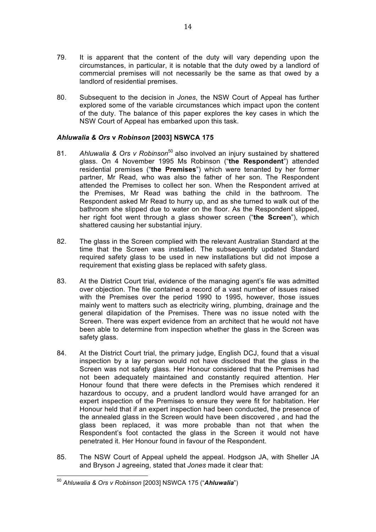- 79. It is apparent that the content of the duty will vary depending upon the circumstances, in particular, it is notable that the duty owed by a landlord of commercial premises will not necessarily be the same as that owed by a landlord of residential premises.
- 80. Subsequent to the decision in *Jones*, the NSW Court of Appeal has further explored some of the variable circumstances which impact upon the content of the duty. The balance of this paper explores the key cases in which the NSW Court of Appeal has embarked upon this task.

## *Ahluwalia & Ors* **v** *Robinson* **[2003] NSWCA 175**

- 81. Ahluwalia & Ors v Robinson<sup>50</sup> also involved an injury sustained by shattered glass. On 4 November 1995 Ms Robinson ("**the Respondent**") attended residential premises ("**the Premises**") which were tenanted by her former partner, Mr Read, who was also the father of her son. The Respondent attended the Premises to collect her son. When the Respondent arrived at the Premises, Mr Read was bathing the child in the bathroom. The Respondent asked Mr Read to hurry up, and as she turned to walk out of the bathroom she slipped due to water on the floor. As the Respondent slipped, her right foot went through a glass shower screen ("**the Screen**"), which shattered causing her substantial injury.
- 82. The glass in the Screen complied with the relevant Australian Standard at the time that the Screen was installed. The subsequently updated Standard required safety glass to be used in new installations but did not impose a requirement that existing glass be replaced with safety glass.
- 83. At the District Court trial, evidence of the managing agent's file was admitted over objection. The file contained a record of a vast number of issues raised with the Premises over the period 1990 to 1995, however, those issues mainly went to matters such as electricity wiring, plumbing, drainage and the general dilapidation of the Premises. There was no issue noted with the Screen. There was expert evidence from an architect that he would not have been able to determine from inspection whether the glass in the Screen was safety glass.
- 84. At the District Court trial, the primary judge, English DCJ, found that a visual inspection by a lay person would not have disclosed that the glass in the Screen was not safety glass. Her Honour considered that the Premises had not been adequately maintained and constantly required attention. Her Honour found that there were defects in the Premises which rendered it hazardous to occupy, and a prudent landlord would have arranged for an expert inspection of the Premises to ensure they were fit for habitation. Her Honour held that if an expert inspection had been conducted, the presence of the annealed glass in the Screen would have been discovered , and had the glass been replaced, it was more probable than not that when the Respondent's foot contacted the glass in the Screen it would not have penetrated it. Her Honour found in favour of the Respondent.
- 85. The NSW Court of Appeal upheld the appeal. Hodgson JA, with Sheller JA and Bryson J agreeing, stated that *Jones* made it clear that:

 <sup>50</sup> *Ahluwalia & Ors v Robinson* [2003] NSWCA 175 ("*Ahluwalia*")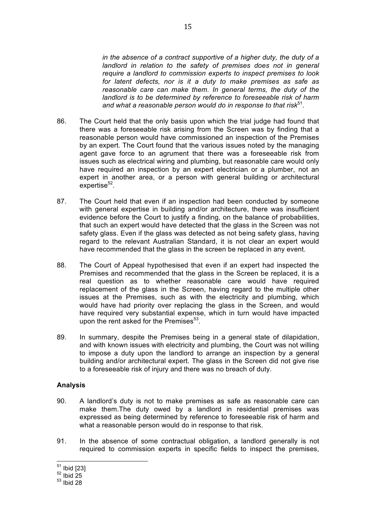*in the absence of a contract supportive of a higher duty, the duty of a landlord in relation to the safety of premises does not in general require a landlord to commission experts to inspect premises to look for latent defects, nor is it a duty to make premises as safe as reasonable care can make them. In general terms, the duty of the landlord is to be determined by reference to foreseeable risk of harm*  and what a reasonable person would do in response to that risk<sup>51</sup>.

- 86. The Court held that the only basis upon which the trial judge had found that there was a foreseeable risk arising from the Screen was by finding that a reasonable person would have commissioned an inspection of the Premises by an expert. The Court found that the various issues noted by the managing agent gave force to an agrument that there was a foreseeable risk from issues such as electrical wiring and plumbing, but reasonable care would only have required an inspection by an expert electrician or a plumber, not an expert in another area, or a person with general building or architectural  $ex$ expertise $52$ .
- 87. The Court held that even if an inspection had been conducted by someone with general expertise in building and/or architecture, there was insufficient evidence before the Court to justify a finding, on the balance of probabilities, that such an expert would have detected that the glass in the Screen was not safety glass. Even if the glass was detected as not being safety glass, having regard to the relevant Australian Standard, it is not clear an expert would have recommended that the glass in the screen be replaced in any event.
- 88. The Court of Appeal hypothesised that even if an expert had inspected the Premises and recommended that the glass in the Screen be replaced, it is a real question as to whether reasonable care would have required replacement of the glass in the Screen, having regard to the multiple other issues at the Premises, such as with the electricity and plumbing, which would have had priority over replacing the glass in the Screen, and would have required very substantial expense, which in turn would have impacted upon the rent asked for the Premises $53$ .
- 89. In summary, despite the Premises being in a general state of dilapidation, and with known issues with electricity and plumbing, the Court was not willing to impose a duty upon the landlord to arrange an inspection by a general building and/or architectural expert. The glass in the Screen did not give rise to a foreseeable risk of injury and there was no breach of duty.

#### **Analysis**

- 90. A landlord's duty is not to make premises as safe as reasonable care can make them.The duty owed by a landlord in residential premises was expressed as being determined by reference to foreseeable risk of harm and what a reasonable person would do in response to that risk.
- 91. In the absence of some contractual obligation, a landlord generally is not required to commission experts in specific fields to inspect the premises,

 $\frac{51}{52}$  Ibid [23]<br> $\frac{52}{101}$  Ibid 25

 $53$  Ibid 28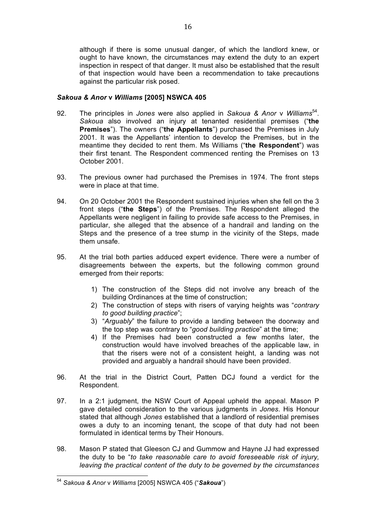although if there is some unusual danger, of which the landlord knew, or ought to have known, the circumstances may extend the duty to an expert inspection in respect of that danger. It must also be established that the result of that inspection would have been a recommendation to take precautions against the particular risk posed.

#### *Sakoua & Anor* **v** *Williams* **[2005] NSWCA 405**

- 92. The principles in *Jones* were also applied in *Sakoua & Anor* v *Williams*54. *Sakoua* also involved an injury at tenanted residential premises ("**the Premises**"). The owners ("**the Appellants**") purchased the Premises in July 2001. It was the Appellants' intention to develop the Premises, but in the meantime they decided to rent them. Ms Williams ("**the Respondent**") was their first tenant. The Respondent commenced renting the Premises on 13 October 2001.
- 93. The previous owner had purchased the Premises in 1974. The front steps were in place at that time.
- 94. On 20 October 2001 the Respondent sustained injuries when she fell on the 3 front steps ("**the Steps**") of the Premises. The Respondent alleged the Appellants were negligent in failing to provide safe access to the Premises, in particular, she alleged that the absence of a handrail and landing on the Steps and the presence of a tree stump in the vicinity of the Steps, made them unsafe.
- 95. At the trial both parties adduced expert evidence. There were a number of disagreements between the experts, but the following common ground emerged from their reports:
	- 1) The construction of the Steps did not involve any breach of the building Ordinances at the time of construction;
	- 2) The construction of steps with risers of varying heights was "*contrary to good building practice*";
	- 3) "*Arguably*" the failure to provide a landing between the doorway and the top step was contrary to "*good building practice*" at the time;
	- 4) If the Premises had been constructed a few months later, the construction would have involved breaches of the applicable law, in that the risers were not of a consistent height, a landing was not provided and arguably a handrail should have been provided.
- 96. At the trial in the District Court, Patten DCJ found a verdict for the Respondent.
- 97. In a 2:1 judgment, the NSW Court of Appeal upheld the appeal. Mason P gave detailed consideration to the various judgments in *Jones*. His Honour stated that although *Jones* established that a landlord of residential premises owes a duty to an incoming tenant, the scope of that duty had not been formulated in identical terms by Their Honours.
- 98. Mason P stated that Gleeson CJ and Gummow and Hayne JJ had expressed the duty to be "*to take reasonable care to avoid foreseeable risk of injury, leaving the practical content of the duty to be governed by the circumstances*

 <sup>54</sup> *Sakoua & Anor* <sup>v</sup>*Williams* [2005] NSWCA 405 ("*Sakoua*")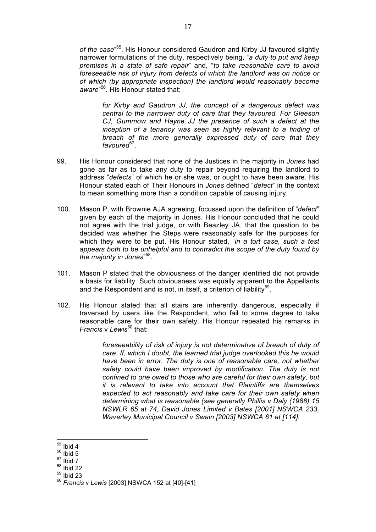*of the case*" 55. His Honour considered Gaudron and Kirby JJ favoured slightly narrower formulations of the duty, respectively being, "*a duty to put and keep premises in a state of safe repair*" and, "*to take reasonable care to avoid foreseeable risk of injury from defects of which the landlord was on notice or of which (by appropriate inspection) the landlord would reasonably become aware*" 56. His Honour stated that:

*for Kirby and Gaudron JJ, the concept of a dangerous defect was central to the narrower duty of care that they favoured. For Gleeson CJ, Gummow and Hayne JJ the presence of such a defect at the inception of a tenancy was seen as highly relevant to a finding of breach of the more generally expressed duty of care that they favoured*57.

- 99. His Honour considered that none of the Justices in the majority in *Jones* had gone as far as to take any duty to repair beyond requiring the landlord to address "*defects*" of which he or she was, or ought to have been aware. His Honour stated each of Their Honours in *Jones* defined "*defect*" in the context to mean something more than a condition capable of causing injury.
- 100. Mason P, with Brownie AJA agreeing, focussed upon the definition of "*defect*" given by each of the majority in Jones. His Honour concluded that he could not agree with the trial judge, or with Beazley JA, that the question to be decided was whether the Steps were reasonably safe for the purposes for which they were to be put. His Honour stated, "*in a tort case, such a test appears both to be unhelpful and to contradict the scope of the duty found by the majority in Jones*" 58.
- 101. Mason P stated that the obviousness of the danger identified did not provide a basis for liability. Such obviousness was equally apparent to the Appellants and the Respondent and is not, in itself, a criterion of liability<sup>59</sup>.
- 102. His Honour stated that all stairs are inherently dangerous, especially if traversed by users like the Respondent, who fail to some degree to take reasonable care for their own safety. His Honour repeated his remarks in *Francis* v *Lewis*<sup>60</sup> that:

*foreseeability of risk of injury is not determinative of breach of duty of care. If, which I doubt, the learned trial judge overlooked this he would have been in error. The duty is one of reasonable care, not whether safety could have been improved by modification. The duty is not confined to one owed to those who are careful for their own safety, but it is relevant to take into account that Plaintiffs are themselves expected to act reasonably and take care for their own safety when determining what is reasonable (see generally Phillis v Daly (1988) 15 NSWLR 65 at 74, David Jones Limited v Bates [2001] NSWCA 233, Waverley Municipal Council v Swain [2003] NSWCA 61 at [114].*

- $58$  Ibid 22
- $59$  Ibid 23

17

 $55$  Ibid 4

 $56$  Ibid 5

 $57$  Ibid 7

<sup>60</sup> *Francis* v *Lewis* [2003] NSWCA 152 at [40]-[41]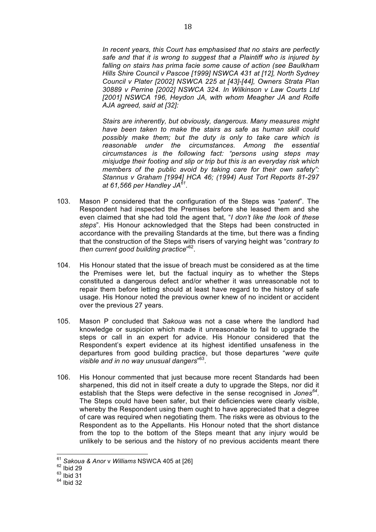*In recent years, this Court has emphasised that no stairs are perfectly safe and that it is wrong to suggest that a Plaintiff who is injured by falling on stairs has prima facie some cause of action (see Baulkham Hills Shire Council v Pascoe [1999] NSWCA 431 at [12], North Sydney Council v Plater [2002] NSWCA 225 at [43]-[44], Owners Strata Plan 30889 v Perrine [2002] NSWCA 324. In Wilkinson v Law Courts Ltd [2001] NSWCA 196, Heydon JA, with whom Meagher JA and Rolfe AJA agreed, said at [32]:*

*Stairs are inherently, but obviously, dangerous. Many measures might have been taken to make the stairs as safe as human skill could possibly make them; but the duty is only to take care which is reasonable under the circumstances. Among the essential circumstances is the following fact: "persons using steps may misjudge their footing and slip or trip but this is an everyday risk which members of the public avoid by taking care for their own safety": Stannus v Graham [1994] HCA 46; (1994) Aust Tort Reports 81-297 at 61,566 per Handley JA61.*

- 103. Mason P considered that the configuration of the Steps was "*patent*". The Respondent had inspected the Premises before she leased them and she even claimed that she had told the agent that, "*I don't like the look of these steps*". His Honour acknowledged that the Steps had been constructed in accordance with the prevailing Standards at the time, but there was a finding that the construction of the Steps with risers of varying height was "*contrary to then current good building practice*" 62.
- 104. His Honour stated that the issue of breach must be considered as at the time the Premises were let, but the factual inquiry as to whether the Steps constituted a dangerous defect and/or whether it was unreasonable not to repair them before letting should at least have regard to the history of safe usage. His Honour noted the previous owner knew of no incident or accident over the previous 27 years.
- 105. Mason P concluded that *Sakoua* was not a case where the landlord had knowledge or suspicion which made it unreasonable to fail to upgrade the steps or call in an expert for advice. His Honour considered that the Respondent's expert evidence at its highest identified unsafeness in the departures from good building practice, but those departures "*were quite visible and in no way unusual dangers*" 63.
- 106. His Honour commented that just because more recent Standards had been sharpened, this did not in itself create a duty to upgrade the Steps, nor did it establish that the Steps were defective in the sense recognised in *Jones<sup>64</sup>*. The Steps could have been safer, but their deficiencies were clearly visible, whereby the Respondent using them ought to have appreciated that a degree of care was required when negotiating them. The risks were as obvious to the Respondent as to the Appellants. His Honour noted that the short distance from the top to the bottom of the Steps meant that any injury would be unlikely to be serious and the history of no previous accidents meant there

 <sup>61</sup> *Sakoua & Anor* <sup>v</sup>*Williams* NSWCA 405 at [26] <sup>62</sup> Ibid 29

 $63$  Ibid 31

 $64$  Ibid 32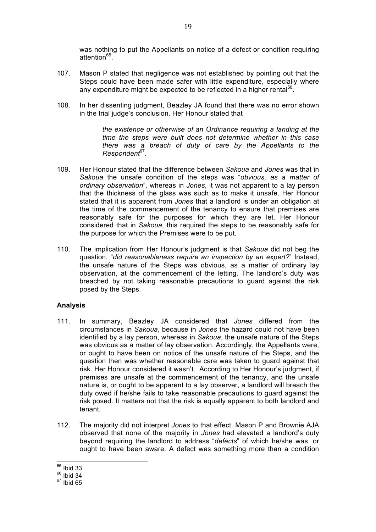was nothing to put the Appellants on notice of a defect or condition requiring attention<sup>65</sup>

- 107. Mason P stated that negligence was not established by pointing out that the Steps could have been made safer with little expenditure, especially where any expenditure might be expected to be reflected in a higher rental<sup>66</sup>.
- 108. In her dissenting judgment, Beazley JA found that there was no error shown in the trial judge's conclusion. Her Honour stated that

*the existence or otherwise of an Ordinance requiring a landing at the time the steps were built does not determine whether in this case there was a breach of duty of care by the Appellants to the Respondent*67.

- 109. Her Honour stated that the difference between *Sakoua* and *Jones* was that in *Sakoua* the unsafe condition of the steps was "*obvious, as a matter of ordinary observation*", whereas in *Jones*, it was not apparent to a lay person that the thickness of the glass was such as to make it unsafe. Her Honour stated that it is apparent from *Jones* that a landlord is under an obligation at the time of the commencement of the tenancy to ensure that premises are reasonably safe for the purposes for which they are let. Her Honour considered that in *Sakoua*, this required the steps to be reasonably safe for the purpose for which the Premises were to be put.
- 110. The implication from Her Honour's judgment is that *Sakoua* did not beg the question, "*did reasonableness require an inspection by an expert?*" Instead, the unsafe nature of the Steps was obvious, as a matter of ordinary lay observation, at the commencement of the letting. The landlord's duty was breached by not taking reasonable precautions to guard against the risk posed by the Steps.

## **Analysis**

- 111. In summary, Beazley JA considered that *Jones* differed from the circumstances in *Sakoua*, because in *Jones* the hazard could not have been identified by a lay person, whereas in *Sakoua*, the unsafe nature of the Steps was obvious as a matter of lay observation. Accordingly, the Appellants were, or ought to have been on notice of the unsafe nature of the Steps, and the question then was whether reasonable care was taken to guard against that risk. Her Honour considered it wasn't. According to Her Honour's judgment, if premises are unsafe at the commencement of the tenancy, and the unsafe nature is, or ought to be apparent to a lay observer, a landlord will breach the duty owed if he/she fails to take reasonable precautions to guard against the risk posed. It matters not that the risk is equally apparent to both landlord and tenant.
- 112. The majority did not interpret *Jones* to that effect. Mason P and Brownie AJA observed that none of the majority in *Jones* had elevated a landlord's duty beyond requiring the landlord to address "*defects*" of which he/she was, or ought to have been aware. A defect was something more than a condition

 $65$  Ibid 33

 $66$  Ibid 34

 $67$  Ibid 65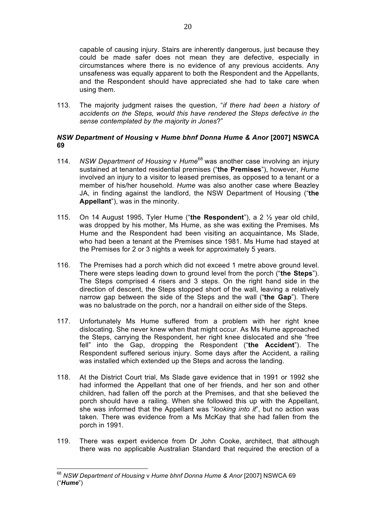capable of causing injury. Stairs are inherently dangerous, just because they could be made safer does not mean they are defective, especially in circumstances where there is no evidence of any previous accidents. Any unsafeness was equally apparent to both the Respondent and the Appellants, and the Respondent should have appreciated she had to take care when using them.

113. The majority judgment raises the question, "*if there had been a history of accidents on the Steps, would this have rendered the Steps defective in the sense contemplated by the majority in Jones*?"

### *NSW Department of Housing* **v** *Hume bhnf Donna Hume & Anor* **[2007] NSWCA 69**

- 114. *NSW Department of Housing* v *Hume*<sup>68</sup> was another case involving an injury sustained at tenanted residential premises ("**the Premises**"), however, *Hume* involved an injury to a visitor to leased premises, as opposed to a tenant or a member of his/her household. *Hume* was also another case where Beazley JA, in finding against the landlord, the NSW Department of Housing ("**the Appellant**"), was in the minority.
- 115. On 14 August 1995, Tyler Hume ("**the Respondent**"), a 2 ½ year old child, was dropped by his mother. Ms Hume, as she was exiting the Premises. Ms Hume and the Respondent had been visiting an acquaintance, Ms Slade, who had been a tenant at the Premises since 1981. Ms Hume had stayed at the Premises for 2 or 3 nights a week for approximately 5 years.
- 116. The Premises had a porch which did not exceed 1 metre above ground level. There were steps leading down to ground level from the porch ("**the Steps**"). The Steps comprised 4 risers and 3 steps. On the right hand side in the direction of descent, the Steps stopped short of the wall, leaving a relatively narrow gap between the side of the Steps and the wall ("**the Gap**"). There was no balustrade on the porch, nor a handrail on either side of the Steps.
- 117. Unfortunately Ms Hume suffered from a problem with her right knee dislocating. She never knew when that might occur. As Ms Hume approached the Steps, carrying the Respondent, her right knee dislocated and she "free fell" into the Gap, dropping the Respondent ("**the Accident**"). The Respondent suffered serious injury. Some days after the Accident, a railing was installed which extended up the Steps and across the landing.
- 118. At the District Court trial, Ms Slade gave evidence that in 1991 or 1992 she had informed the Appellant that one of her friends, and her son and other children, had fallen off the porch at the Premises, and that she believed the porch should have a railing. When she followed this up with the Appellant, she was informed that the Appellant was "*looking into it*", but no action was taken. There was evidence from a Ms McKay that she had fallen from the porch in 1991.
- 119. There was expert evidence from Dr John Cooke, architect, that although there was no applicable Australian Standard that required the erection of a

 <sup>68</sup> *NSW Department of Housing* <sup>v</sup>*Hume bhnf Donna Hume & Anor* [2007] NSWCA 69 ("*Hume*")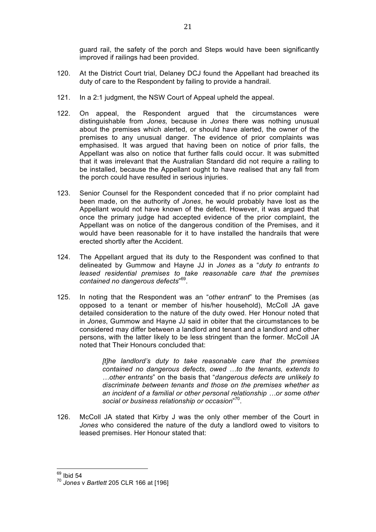guard rail, the safety of the porch and Steps would have been significantly improved if railings had been provided.

- 120. At the District Court trial, Delaney DCJ found the Appellant had breached its duty of care to the Respondent by failing to provide a handrail.
- 121. In a 2:1 judgment, the NSW Court of Appeal upheld the appeal.
- 122. On appeal, the Respondent argued that the circumstances were distinguishable from *Jones,* because in *Jones* there was nothing unusual about the premises which alerted, or should have alerted, the owner of the premises to any unusual danger. The evidence of prior complaints was emphasised. It was argued that having been on notice of prior falls, the Appellant was also on notice that further falls could occur. It was submitted that it was irrelevant that the Australian Standard did not require a railing to be installed, because the Appellant ought to have realised that any fall from the porch could have resulted in serious injuries.
- 123. Senior Counsel for the Respondent conceded that if no prior complaint had been made, on the authority of *Jones*, he would probably have lost as the Appellant would not have known of the defect. However, it was argued that once the primary judge had accepted evidence of the prior complaint, the Appellant was on notice of the dangerous condition of the Premises, and it would have been reasonable for it to have installed the handrails that were erected shortly after the Accident.
- 124. The Appellant argued that its duty to the Respondent was confined to that delineated by Gummow and Hayne JJ in *Jones* as a "*duty to entrants to leased residential premises to take reasonable care that the premises contained no dangerous defects*" 69.
- 125. In noting that the Respondent was an "*other entrant*" to the Premises (as opposed to a tenant or member of his/her household), McColl JA gave detailed consideration to the nature of the duty owed. Her Honour noted that in *Jones*, Gummow and Hayne JJ said in obiter that the circumstances to be considered may differ between a landlord and tenant and a landlord and other persons, with the latter likely to be less stringent than the former. McColl JA noted that Their Honours concluded that:

*[t]he landlord's duty to take reasonable care that the premises contained no dangerous defects, owed …to the tenants, extends to …other entrants*" on the basis that "*dangerous defects are unlikely to discriminate between tenants and those on the premises whether as an incident of a familial or other personal relationship …or some other social or business relationship or occasion*" 70.

126. McColl JA stated that Kirby J was the only other member of the Court in *Jones* who considered the nature of the duty a landlord owed to visitors to leased premises. Her Honour stated that:

 $69$  Ibid 54

<sup>70</sup> *Jones* v *Bartlett* 205 CLR 166 at [196]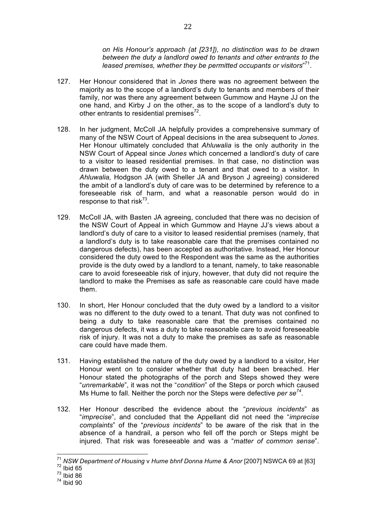*on His Honour's approach (at [231]), no distinction was to be drawn between the duty a landlord owed to tenants and other entrants to the leased premises, whether they be permitted occupants or visitors*" 71.

- 127. Her Honour considered that in *Jones* there was no agreement between the majority as to the scope of a landlord's duty to tenants and members of their family, nor was there any agreement between Gummow and Hayne JJ on the one hand, and Kirby J on the other, as to the scope of a landlord's duty to other entrants to residential premises $72$ .
- 128. In her judgment, McColl JA helpfully provides a comprehensive summary of many of the NSW Court of Appeal decisions in the area subsequent to *Jones*. Her Honour ultimately concluded that *Ahluwalia* is the only authority in the NSW Court of Appeal since *Jones* which concerned a landlord's duty of care to a visitor to leased residential premises. In that case, no distinction was drawn between the duty owed to a tenant and that owed to a visitor. In *Ahluwalia,* Hodgson JA (with Sheller JA and Bryson J agreeing) considered the ambit of a landlord's duty of care was to be determined by reference to a foreseeable risk of harm, and what a reasonable person would do in response to that risk $^{73}$ .
- 129. McColl JA, with Basten JA agreeing, concluded that there was no decision of the NSW Court of Appeal in which Gummow and Hayne JJ's views about a landlord's duty of care to a visitor to leased residential premises (namely, that a landlord's duty is to take reasonable care that the premises contained no dangerous defects), has been accepted as authoritative. Instead, Her Honour considered the duty owed to the Respondent was the same as the authorities provide is the duty owed by a landlord to a tenant, namely, to take reasonable care to avoid foreseeable risk of injury, however, that duty did not require the landlord to make the Premises as safe as reasonable care could have made them.
- 130. In short, Her Honour concluded that the duty owed by a landlord to a visitor was no different to the duty owed to a tenant. That duty was not confined to being a duty to take reasonable care that the premises contained no dangerous defects, it was a duty to take reasonable care to avoid foreseeable risk of injury. It was not a duty to make the premises as safe as reasonable care could have made them.
- 131. Having established the nature of the duty owed by a landlord to a visitor, Her Honour went on to consider whether that duty had been breached. Her Honour stated the photographs of the porch and Steps showed they were "*unremarkable*", it was not the "*condition*" of the Steps or porch which caused Ms Hume to fall. Neither the porch nor the Steps were defective *per se<sup>74</sup>*.
- 132. Her Honour described the evidence about the "*previous incidents*" as "*imprecise*", and concluded that the Appellant did not need the "*imprecise complaints*" of the "*previous incidents*" to be aware of the risk that in the absence of a handrail, a person who fell off the porch or Steps might be injured. That risk was foreseeable and was a "*matter of common sense*".

 <sup>71</sup> *NSW Department of Housing* <sup>v</sup>*Hume bhnf Donna Hume & Anor* [2007] NSWCA 69 at [63] <sup>72</sup> Ibid 65

 $73$  Ibid 86

 $74$  Ibid 90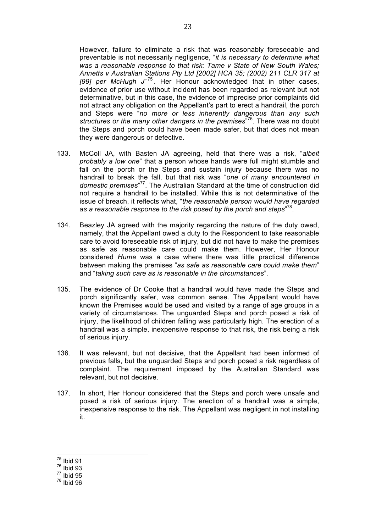However, failure to eliminate a risk that was reasonably foreseeable and preventable is not necessarily negligence, "*it is necessary to determine what was a reasonable response to that risk: Tame v State of New South Wales; Annetts v Australian Stations Pty Ltd [2002] HCA 35; (2002) 211 CLR 317 at [99] per McHugh J*" <sup>75</sup> . Her Honour acknowledged that in other cases, evidence of prior use without incident has been regarded as relevant but not determinative, but in this case, the evidence of imprecise prior complaints did not attract any obligation on the Appellant's part to erect a handrail, the porch and Steps were "*no more or less inherently dangerous than any such structures or the many other dangers in the premises*" 76. There was no doubt the Steps and porch could have been made safer, but that does not mean they were dangerous or defective.

- 133. McColl JA, with Basten JA agreeing, held that there was a risk, "*albeit probably a low one*" that a person whose hands were full might stumble and fall on the porch or the Steps and sustain injury because there was no handrail to break the fall, but that risk was "*one of many encountered in*  domestic premises"<sup>77</sup>. The Australian Standard at the time of construction did not require a handrail to be installed. While this is not determinative of the issue of breach, it reflects what, "*the reasonable person would have regarded as a reasonable response to the risk posed by the porch and steps*" 78.
- 134. Beazley JA agreed with the majority regarding the nature of the duty owed, namely, that the Appellant owed a duty to the Respondent to take reasonable care to avoid foreseeable risk of injury, but did not have to make the premises as safe as reasonable care could make them. However, Her Honour considered *Hume* was a case where there was little practical difference between making the premises "*as safe as reasonable care could make them*" and "*taking such care as is reasonable in the circumstances*".
- 135. The evidence of Dr Cooke that a handrail would have made the Steps and porch significantly safer, was common sense. The Appellant would have known the Premises would be used and visited by a range of age groups in a variety of circumstances. The unguarded Steps and porch posed a risk of injury, the likelihood of children falling was particularly high. The erection of a handrail was a simple, inexpensive response to that risk, the risk being a risk of serious injury.
- 136. It was relevant, but not decisive, that the Appellant had been informed of previous falls, but the unguarded Steps and porch posed a risk regardless of complaint. The requirement imposed by the Australian Standard was relevant, but not decisive.
- 137. In short, Her Honour considered that the Steps and porch were unsafe and posed a risk of serious injury. The erection of a handrail was a simple, inexpensive response to the risk. The Appellant was negligent in not installing it.

 <sup>75</sup> Ibid 91

<sup>76</sup> Ibid 93

 $77$  lbid 95

<sup>78</sup> Ibid 96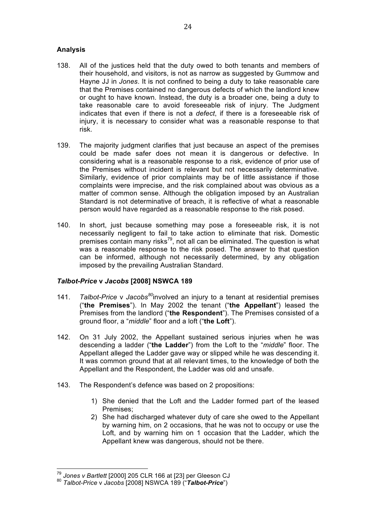## **Analysis**

- 138. All of the justices held that the duty owed to both tenants and members of their household, and visitors, is not as narrow as suggested by Gummow and Hayne JJ in *Jones*. It is not confined to being a duty to take reasonable care that the Premises contained no dangerous defects of which the landlord knew or ought to have known. Instead, the duty is a broader one, being a duty to take reasonable care to avoid foreseeable risk of injury. The Judgment indicates that even if there is not a *defect*, if there is a foreseeable risk of injury, it is necessary to consider what was a reasonable response to that risk.
- 139. The majority judgment clarifies that just because an aspect of the premises could be made safer does not mean it is dangerous or defective. In considering what is a reasonable response to a risk, evidence of prior use of the Premises without incident is relevant but not necessarily determinative. Similarly, evidence of prior complaints may be of little assistance if those complaints were imprecise, and the risk complained about was obvious as a matter of common sense. Although the obligation imposed by an Australian Standard is not determinative of breach, it is reflective of what a reasonable person would have regarded as a reasonable response to the risk posed.
- 140. In short, just because something may pose a foreseeable risk, it is not necessarily negligent to fail to take action to eliminate that risk. Domestic premises contain many risks<sup>79</sup>, not all can be eliminated. The question is what was a reasonable response to the risk posed. The answer to that question can be informed, although not necessarily determined, by any obligation imposed by the prevailing Australian Standard.

# *Talbot-Price* **v** *Jacobs* **[2008] NSWCA 189**

- 141. *Talbot-Price* v *Jacobs<sup>80</sup>*involved an injury to a tenant at residential premises ("**the Premises**"). In May 2002 the tenant ("**the Appellant**") leased the Premises from the landlord ("**the Respondent**"). The Premises consisted of a ground floor, a "*middle*" floor and a loft ("**the Loft**").
- 142. On 31 July 2002, the Appellant sustained serious injuries when he was descending a ladder ("**the Ladder**") from the Loft to the "*middle*" floor. The Appellant alleged the Ladder gave way or slipped while he was descending it. It was common ground that at all relevant times, to the knowledge of both the Appellant and the Respondent, the Ladder was old and unsafe.
- 143. The Respondent's defence was based on 2 propositions:
	- 1) She denied that the Loft and the Ladder formed part of the leased Premises;
	- 2) She had discharged whatever duty of care she owed to the Appellant by warning him, on 2 occasions, that he was not to occupy or use the Loft, and by warning him on 1 occasion that the Ladder, which the Appellant knew was dangerous, should not be there.

 <sup>79</sup> *Jones v Bartlett* [2000] 205 CLR 166 at [23] per Gleeson CJ <sup>80</sup> *Talbot-Price* <sup>v</sup>*Jacobs* [2008] NSWCA 189 ("*Talbot-Price*")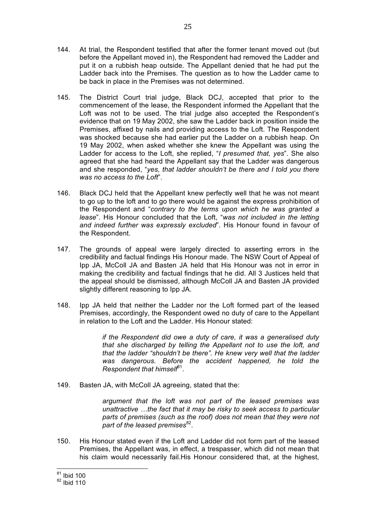144. At trial, the Respondent testified that after the former tenant moved out (but before the Appellant moved in), the Respondent had removed the Ladder and put it on a rubbish heap outside. The Appellant denied that he had put the Ladder back into the Premises. The question as to how the Ladder came to be back in place in the Premises was not determined.

25

- 145. The District Court trial judge, Black DCJ, accepted that prior to the commencement of the lease, the Respondent informed the Appellant that the Loft was not to be used. The trial judge also accepted the Respondent's evidence that on 19 May 2002, she saw the Ladder back in position inside the Premises, affixed by nails and providing access to the Loft. The Respondent was shocked because she had earlier put the Ladder on a rubbish heap. On 19 May 2002, when asked whether she knew the Appellant was using the Ladder for access to the Loft, she replied, "*I presumed that, yes*". She also agreed that she had heard the Appellant say that the Ladder was dangerous and she responded, "*yes, that ladder shouldn't be there and I told you there was no access to the Loft*".
- 146. Black DCJ held that the Appellant knew perfectly well that he was not meant to go up to the loft and to go there would be against the express prohibition of the Respondent and "*contrary to the terms upon which he was granted a lease*". His Honour concluded that the Loft, "*was not included in the letting and indeed further was expressly excluded*". His Honour found in favour of the Respondent.
- 147. The grounds of appeal were largely directed to asserting errors in the credibility and factual findings His Honour made. The NSW Court of Appeal of Ipp JA, McColl JA and Basten JA held that His Honour was not in error in making the credibility and factual findings that he did. All 3 Justices held that the appeal should be dismissed, although McColl JA and Basten JA provided slightly different reasoning to Ipp JA.
- 148. Ipp JA held that neither the Ladder nor the Loft formed part of the leased Premises, accordingly, the Respondent owed no duty of care to the Appellant in relation to the Loft and the Ladder. His Honour stated:

*if the Respondent did owe a duty of care, it was a generalised duty that she discharged by telling the Appellant not to use the loft, and that the ladder "shouldn't be there". He knew very well that the ladder was dangerous. Before the accident happened, he told the Respondent that himself*81.

149. Basten JA, with McColl JA agreeing, stated that the:

*argument that the loft was not part of the leased premises was unattractive …the fact that it may be risky to seek access to particular parts of premises (such as the roof) does not mean that they were not*  part of the leased premises<sup>82</sup>.

150. His Honour stated even if the Loft and Ladder did not form part of the leased Premises, the Appellant was, in effect, a trespasser, which did not mean that his claim would necessarily fail.His Honour considered that, at the highest,

 <sup>81</sup> Ibid 100

 $82$  Ibid 110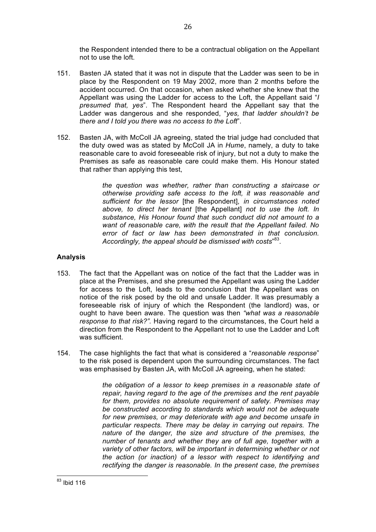the Respondent intended there to be a contractual obligation on the Appellant not to use the loft.

- 151. Basten JA stated that it was not in dispute that the Ladder was seen to be in place by the Respondent on 19 May 2002, more than 2 months before the accident occurred. On that occasion, when asked whether she knew that the Appellant was using the Ladder for access to the Loft, the Appellant said "*I presumed that, yes*". The Respondent heard the Appellant say that the Ladder was dangerous and she responded, "*yes, that ladder shouldn't be there and I told you there was no access to the Loft*".
- 152. Basten JA, with McColl JA agreeing, stated the trial judge had concluded that the duty owed was as stated by McColl JA in *Hume*, namely, a duty to take reasonable care to avoid foreseeable risk of injury, but not a duty to make the Premises as safe as reasonable care could make them. His Honour stated that rather than applying this test,

*the question was whether, rather than constructing a staircase or otherwise providing safe access to the loft, it was reasonable and sufficient for the lessor* [the Respondent], *in circumstances noted above, to direct her tenant* [the Appellant] *not to use the loft. In substance, His Honour found that such conduct did not amount to a want of reasonable care, with the result that the Appellant failed. No error of fact or law has been demonstrated in that conclusion. Accordingly, the appeal should be dismissed with costs*" 83.

## **Analysis**

- 153. The fact that the Appellant was on notice of the fact that the Ladder was in place at the Premises, and she presumed the Appellant was using the Ladder for access to the Loft, leads to the conclusion that the Appellant was on notice of the risk posed by the old and unsafe Ladder. It was presumably a foreseeable risk of injury of which the Respondent (the landlord) was, or ought to have been aware. The question was then *"what was a reasonable response to that risk?".* Having regard to the circumstances, the Court held a direction from the Respondent to the Appellant not to use the Ladder and Loft was sufficient.
- 154. The case highlights the fact that what is considered a "*reasonable response*" to the risk posed is dependent upon the surrounding circumstances. The fact was emphasised by Basten JA, with McColl JA agreeing, when he stated:

*the obligation of a lessor to keep premises in a reasonable state of repair, having regard to the age of the premises and the rent payable for them, provides no absolute requirement of safety. Premises may be constructed according to standards which would not be adequate for new premises, or may deteriorate with age and become unsafe in particular respects. There may be delay in carrying out repairs. The nature of the danger, the size and structure of the premises, the number of tenants and whether they are of full age, together with a variety of other factors, will be important in determining whether or not the action (or inaction) of a lessor with respect to identifying and rectifying the danger is reasonable. In the present case, the premises*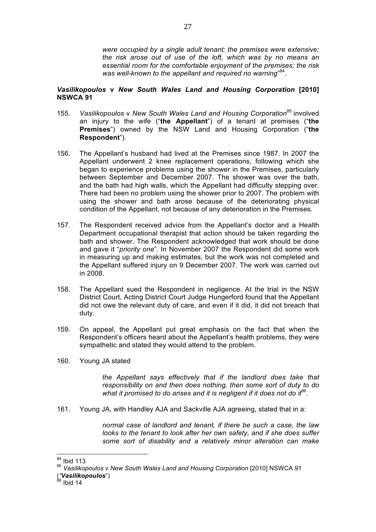*were occupied by a single adult tenant; the premises were extensive; the risk arose out of use of the loft, which was by no means an essential room for the comfortable enjoyment of the premises; the risk*  was well-known to the appellant and required no warning"<sup>84</sup>.

### *Vasilikopoulos* **v** *New South Wales Land and Housing Corporation* **[2010] NSWCA 91**

- 155. *Vasilikopoulos* v *New South Wales Land and Housing Corporation*<sup>85</sup> involved an injury to the wife ("**the Appellant**") of a tenant at premises ("**the Premises**") owned by the NSW Land and Housing Corporation ("**the Respondent**").
- 156. The Appellant's husband had lived at the Premises since 1987. In 2007 the Appellant underwent 2 knee replacement operations, following which she began to experience problems using the shower in the Premises, particularly between September and December 2007. The shower was over the bath, and the bath had high walls, which the Appellant had difficulty stepping over. There had been no problem using the shower prior to 2007. The problem with using the shower and bath arose because of the deteriorating physical condition of the Appellant, not because of any deterioration in the Premises.
- 157. The Respondent received advice from the Appellant's doctor and a Health Department occupational therapist that action should be taken regarding the bath and shower. The Respondent acknowledged that work should be done and gave it "*priority one*". In November 2007 the Respondent did some work in measuring up and making estimates, but the work was not completed and the Appellant suffered injury on 9 December 2007. The work was carried out in 2008.
- 158. The Appellant sued the Respondent in negligence. At the trial in the NSW District Court, Acting District Court Judge Hungerford found that the Appellant did not owe the relevant duty of care, and even if it did, it did not breach that duty.
- 159. On appeal, the Appellant put great emphasis on the fact that when the Respondent's officers heard about the Appellant's health problems, they were sympathetic and stated they would attend to the problem.
- 160. Young JA stated

*the Appellant says effectively that if the landlord does take that responsibility on and then does nothing, then some sort of duty to do*  what it promised to do arises and it is negligent if it does not do it<sup>86</sup>.

161. Young JA, with Handley AJA and Sackville AJA agreeing, stated that in a:

*normal case of landlord and tenant, if there be such a case, the law looks to the tenant to look after her own safety, and if she does suffer some sort of disability and a relatively minor alteration can make* 

 <sup>84</sup> Ibid 113

<sup>85</sup> *Vasilikopoulos* v *New South Wales Land and Housing Corporation* [2010] NSWCA 91

<sup>(</sup>*"Vasilikopoulos*") <sup>86</sup> Ibid 14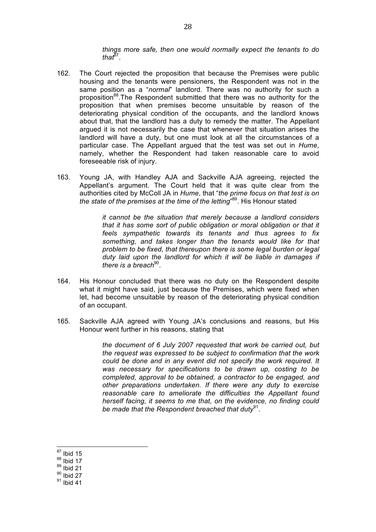*things more safe, then one would normally expect the tenants to do*   $that<sup>87</sup>$ .

- 162. The Court rejected the proposition that because the Premises were public housing and the tenants were pensioners, the Respondent was not in the same position as a "*normal*" landlord. There was no authority for such a proposition<sup>88</sup>.The Respondent submitted that there was no authority for the proposition that when premises become unsuitable by reason of the deteriorating physical condition of the occupants, and the landlord knows about that, that the landlord has a duty to remedy the matter. The Appellant argued it is not necessarily the case that whenever that situation arises the landlord will have a duty, but one must look at all the circumstances of a particular case. The Appellant argued that the test was set out in *Hume*, namely, whether the Respondent had taken reasonable care to avoid foreseeable risk of injury.
- 163. Young JA, with Handley AJA and Sackville AJA agreeing, rejected the Appellant's argument. The Court held that it was quite clear from the authorities cited by McColl JA in *Hume*, that "*the prime focus on that test is on the state of the premises at the time of the letting*" 89. His Honour stated

*it cannot be the situation that merely because a landlord considers that it has some sort of public obligation or moral obligation or that it feels sympathetic towards its tenants and thus agrees to fix something, and takes longer than the tenants would like for that problem to be fixed, that thereupon there is some legal burden or legal duty laid upon the landlord for which it will be liable in damages if there is a breach*<sup>90</sup>.

- 164. His Honour concluded that there was no duty on the Respondent despite what it might have said, just because the Premises, which were fixed when let, had become unsuitable by reason of the deteriorating physical condition of an occupant.
- 165. Sackville AJA agreed with Young JA's conclusions and reasons, but His Honour went further in his reasons, stating that

*the document of 6 July 2007 requested that work be carried out, but the request was expressed to be subject to confirmation that the work could be done and in any event did not specify the work required. It was necessary for specifications to be drawn up, costing to be completed, approval to be obtained, a contractor to be engaged, and other preparations undertaken. If there were any duty to exercise reasonable care to ameliorate the difficulties the Appellant found herself facing, it seems to me that, on the evidence, no finding could*  be made that the Respondent breached that duty<sup>91</sup>.

 $87$  Ibid 15

 $88$  Ibid 17

 $89$  Ibid 21

 $90$  Ibid 27

 $91$  lbid 41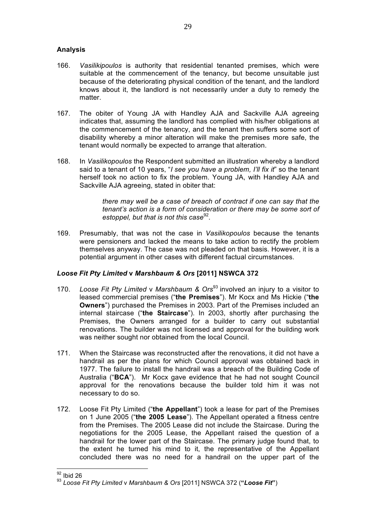## **Analysis**

- 166. *Vasilikipoulos* is authority that residential tenanted premises, which were suitable at the commencement of the tenancy, but become unsuitable just because of the deteriorating physical condition of the tenant, and the landlord knows about it, the landlord is not necessarily under a duty to remedy the matter.
- 167. The obiter of Young JA with Handley AJA and Sackville AJA agreeing indicates that, assuming the landlord has complied with his/her obligations at the commencement of the tenancy, and the tenant then suffers some sort of disability whereby a minor alteration will make the premises more safe, the tenant would normally be expected to arrange that alteration.
- 168. In *Vasilikopoulos* the Respondent submitted an illustration whereby a landlord said to a tenant of 10 years, "*I see you have a problem, I'll fix it*" so the tenant herself took no action to fix the problem. Young JA, with Handley AJA and Sackville AJA agreeing, stated in obiter that:

*there may well be a case of breach of contract if one can say that the tenant's action is a form of consideration or there may be some sort of estoppel, but that is not this case*<sup>92</sup>.

169. Presumably, that was not the case in *Vasilikopoulos* because the tenants were pensioners and lacked the means to take action to rectify the problem themselves anyway. The case was not pleaded on that basis. However, it is a potential argument in other cases with different factual circumstances.

## *Loose Fit Pty Limited* **v** *Marshbaum & Ors* **[2011] NSWCA 372**

- 170. *Loose Fit Pty Limited* v *Marshbaum & Ors*<sup>93</sup> involved an injury to a visitor to leased commercial premises ("**the Premises**"). Mr Kocx and Ms Hickie ("**the Owners**") purchased the Premises in 2003. Part of the Premises included an internal staircase ("**the Staircase**"). In 2003, shortly after purchasing the Premises, the Owners arranged for a builder to carry out substantial renovations. The builder was not licensed and approval for the building work was neither sought nor obtained from the local Council.
- 171. When the Staircase was reconstructed after the renovations, it did not have a handrail as per the plans for which Council approval was obtained back in 1977. The failure to install the handrail was a breach of the Building Code of Australia ("**BCA**"). Mr Kocx gave evidence that he had not sought Council approval for the renovations because the builder told him it was not necessary to do so.
- 172. Loose Fit Pty Limited ("**the Appellant**") took a lease for part of the Premises on 1 June 2005 ("**the 2005 Lease**"). The Appellant operated a fitness centre from the Premises. The 2005 Lease did not include the Staircase. During the negotiations for the 2005 Lease, the Appellant raised the question of a handrail for the lower part of the Staircase. The primary judge found that, to the extent he turned his mind to it, the representative of the Appellant concluded there was no need for a handrail on the upper part of the

 <sup>92</sup> Ibid 26

<sup>93</sup> *Loose Fit Pty Limited* v *Marshbaum & Ors* [2011] NSWCA 372 (**"***Loose Fit***"**)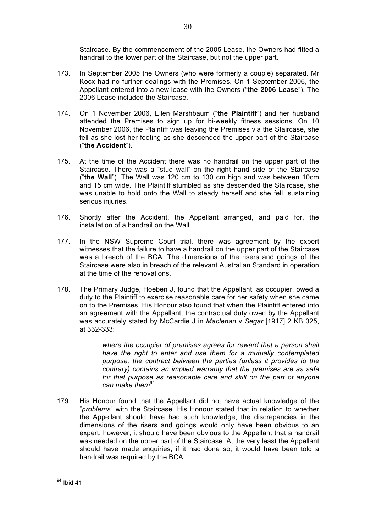Staircase. By the commencement of the 2005 Lease, the Owners had fitted a handrail to the lower part of the Staircase, but not the upper part.

- 173. In September 2005 the Owners (who were formerly a couple) separated. Mr Kocx had no further dealings with the Premises. On 1 September 2006, the Appellant entered into a new lease with the Owners ("**the 2006 Lease**"). The 2006 Lease included the Staircase.
- 174. On 1 November 2006, Ellen Marshbaum ("**the Plaintiff**") and her husband attended the Premises to sign up for bi-weekly fitness sessions. On 10 November 2006, the Plaintiff was leaving the Premises via the Staircase, she fell as she lost her footing as she descended the upper part of the Staircase ("**the Accident**").
- 175. At the time of the Accident there was no handrail on the upper part of the Staircase. There was a "stud wall" on the right hand side of the Staircase ("**the Wall**"). The Wall was 120 cm to 130 cm high and was between 10cm and 15 cm wide. The Plaintiff stumbled as she descended the Staircase, she was unable to hold onto the Wall to steady herself and she fell, sustaining serious injuries.
- 176. Shortly after the Accident, the Appellant arranged, and paid for, the installation of a handrail on the Wall.
- 177. In the NSW Supreme Court trial, there was agreement by the expert witnesses that the failure to have a handrail on the upper part of the Staircase was a breach of the BCA. The dimensions of the risers and goings of the Staircase were also in breach of the relevant Australian Standard in operation at the time of the renovations.
- 178. The Primary Judge, Hoeben J, found that the Appellant, as occupier, owed a duty to the Plaintiff to exercise reasonable care for her safety when she came on to the Premises. His Honour also found that when the Plaintiff entered into an agreement with the Appellant, the contractual duty owed by the Appellant was accurately stated by McCardie J in *Maclenan* v *Segar* [1917] 2 KB 325, at 332-333:

*where the occupier of premises agrees for reward that a person shall have the right to enter and use them for a mutually contemplated purpose, the contract between the parties (unless it provides to the contrary) contains an implied warranty that the premises are as safe for that purpose as reasonable care and skill on the part of anyone can make them*94.

179. His Honour found that the Appellant did not have actual knowledge of the "*problems*" with the Staircase. His Honour stated that in relation to whether the Appellant should have had such knowledge, the discrepancies in the dimensions of the risers and goings would only have been obvious to an expert, however, it should have been obvious to the Appellant that a handrail was needed on the upper part of the Staircase. At the very least the Appellant should have made enquiries, if it had done so, it would have been told a handrail was required by the BCA.

<sup>&</sup>lt;sup>94</sup> Ibid 41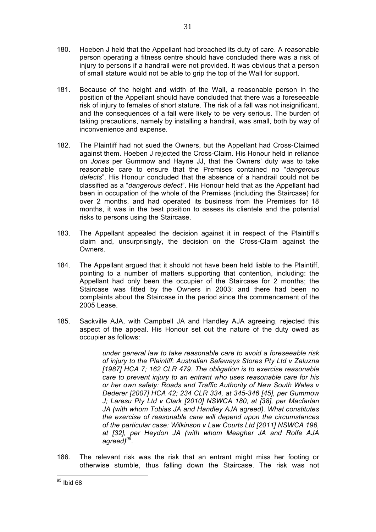- 180. Hoeben J held that the Appellant had breached its duty of care. A reasonable person operating a fitness centre should have concluded there was a risk of injury to persons if a handrail were not provided. It was obvious that a person of small stature would not be able to grip the top of the Wall for support.
- 181. Because of the height and width of the Wall, a reasonable person in the position of the Appellant should have concluded that there was a foreseeable risk of injury to females of short stature. The risk of a fall was not insignificant, and the consequences of a fall were likely to be very serious. The burden of taking precautions, namely by installing a handrail, was small, both by way of inconvenience and expense.
- 182. The Plaintiff had not sued the Owners, but the Appellant had Cross-Claimed against them. Hoeben J rejected the Cross-Claim. His Honour held in reliance on *Jones* per Gummow and Hayne JJ, that the Owners' duty was to take reasonable care to ensure that the Premises contained no "*dangerous defects*". His Honour concluded that the absence of a handrail could not be classified as a "*dangerous defect*". His Honour held that as the Appellant had been in occupation of the whole of the Premises (including the Staircase) for over 2 months, and had operated its business from the Premises for 18 months, it was in the best position to assess its clientele and the potential risks to persons using the Staircase.
- 183. The Appellant appealed the decision against it in respect of the Plaintiff's claim and, unsurprisingly, the decision on the Cross-Claim against the Owners.
- 184. The Appellant argued that it should not have been held liable to the Plaintiff, pointing to a number of matters supporting that contention, including: the Appellant had only been the occupier of the Staircase for 2 months; the Staircase was fitted by the Owners in 2003; and there had been no complaints about the Staircase in the period since the commencement of the 2005 Lease.
- 185. Sackville AJA, with Campbell JA and Handley AJA agreeing, rejected this aspect of the appeal. His Honour set out the nature of the duty owed as occupier as follows:

*under general law to take reasonable care to avoid a foreseeable risk of injury to the Plaintiff: Australian Safeways Stores Pty Ltd v Zaluzna [1987] HCA 7; 162 CLR 479. The obligation is to exercise reasonable care to prevent injury to an entrant who uses reasonable care for his or her own safety: Roads and Traffic Authority of New South Wales v Dederer [2007] HCA 42; 234 CLR 334, at 345-346 [45], per Gummow J; Laresu Pty Ltd v Clark [2010] NSWCA 180, at [38], per Macfarlan JA (with whom Tobias JA and Handley AJA agreed). What constitutes the exercise of reasonable care will depend upon the circumstances of the particular case: Wilkinson v Law Courts Ltd [2011] NSWCA 196, at [32], per Heydon JA (with whom Meagher JA and Rolfe AJA*   $agreed)^9$ 

186. The relevant risk was the risk that an entrant might miss her footing or otherwise stumble, thus falling down the Staircase. The risk was not

 <sup>95</sup> Ibid 68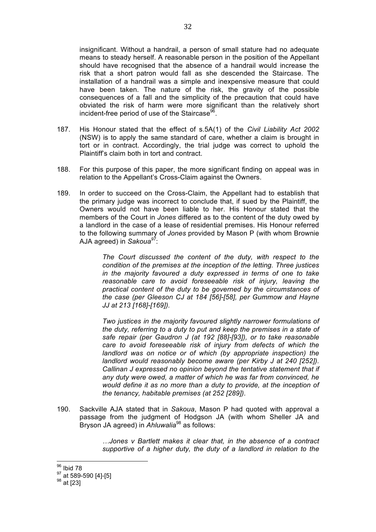insignificant. Without a handrail, a person of small stature had no adequate means to steady herself. A reasonable person in the position of the Appellant should have recognised that the absence of a handrail would increase the risk that a short patron would fall as she descended the Staircase. The installation of a handrail was a simple and inexpensive measure that could have been taken. The nature of the risk, the gravity of the possible consequences of a fall and the simplicity of the precaution that could have obviated the risk of harm were more significant than the relatively short incident-free period of use of the Staircase<sup>96</sup>.

- 187. His Honour stated that the effect of s.5A(1) of the *Civil Liability Act 2002* (NSW) is to apply the same standard of care, whether a claim is brought in tort or in contract. Accordingly, the trial judge was correct to uphold the Plaintiff's claim both in tort and contract.
- 188. For this purpose of this paper, the more significant finding on appeal was in relation to the Appellant's Cross-Claim against the Owners.
- 189. In order to succeed on the Cross-Claim, the Appellant had to establish that the primary judge was incorrect to conclude that, if sued by the Plaintiff, the Owners would not have been liable to her. His Honour stated that the members of the Court in *Jones* differed as to the content of the duty owed by a landlord in the case of a lease of residential premises. His Honour referred to the following summary of *Jones* provided by Mason P (with whom Brownie AJA agreed) in *Sakoua<sup>97</sup>*:

*The Court discussed the content of the duty, with respect to the condition of the premises at the inception of the letting. Three justices in the majority favoured a duty expressed in terms of one to take reasonable care to avoid foreseeable risk of injury, leaving the practical content of the duty to be governed by the circumstances of the case (per Gleeson CJ at 184 [56]-[58], per Gummow and Hayne JJ at 213 [168]-[169]).*

*Two justices in the majority favoured slightly narrower formulations of the duty, referring to a duty to put and keep the premises in a state of safe repair (per Gaudron J (at 192 [88]-[93]), or to take reasonable care to avoid foreseeable risk of injury from defects of which the landlord was on notice or of which (by appropriate inspection) the landlord would reasonably become aware (per Kirby J at 240 [252]). Callinan J expressed no opinion beyond the tentative statement that if any duty were owed, a matter of which he was far from convinced, he would define it as no more than a duty to provide, at the inception of the tenancy, habitable premises (at 252 [289])*.

190. Sackville AJA stated that in *Sakoua*, Mason P had quoted with approval a passage from the judgment of Hodgson JA (with whom Sheller JA and Bryson JA agreed) in *Ahluwalia*<sup>98</sup> as follows:

> *…Jones v Bartlett makes it clear that, in the absence of a contract supportive of a higher duty, the duty of a landlord in relation to the*

 <sup>96</sup> Ibid 78

 $\frac{97}{28}$  at 589-590 [4]-[5]<br><sup>98</sup> at [23]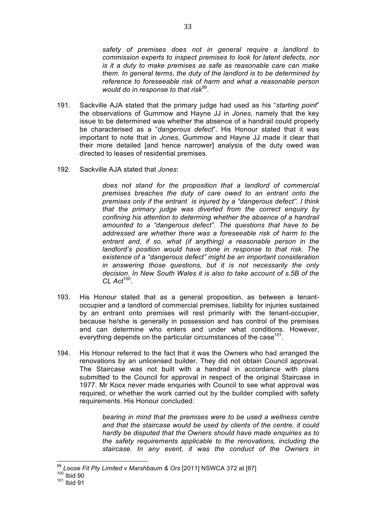*safety of premises does not in general require a landlord to commission experts to inspect premises to look for latent defects, nor is it a duty to make premises as safe as reasonable care can make them. In general terms, the duty of the landlord is to be determined by reference to foreseeable risk of harm and what a reasonable person would do in response to that risk*<sup>99</sup>.

- 191. Sackville AJA stated that the primary judge had used as his "*starting point*" the observations of Gummow and Hayne JJ in *Jones*, namely that the key issue to be determined was whether the absence of a handrail could properly be characterised as a "*dangerous defect*". His Honour stated that it was important to note that in *Jones*, Gummow and Hayne JJ made it clear that their more detailed [and hence narrower] analysis of the duty owed was directed to leases of residential premises.
- 192. Sackville AJA stated that *Jones*:

*does not stand for the proposition that a landlord of commercial premises breaches the duty of care owed to an entrant onto the premises only if the entrant is injured by a "dangerous defect". I think that the primary judge was diverted from the correct enquiry by confining his attention to determing whether the absence of a handrail amounted to a "dangerous defect". The questions that have to be addressed are whether there was a foreseeable risk of harm to the entrant and, if so, what (if anything) a reasonable person in the landlord's position would have done in response to that risk. The existence of a "dangerous defect" might be an important consideration in answering those questions, but it is not necessarily the only decision. In New South Wales it is also to take account of s.5B of the CL Act*100.

- 193. His Honour stated that as a general proposition, as between a tenantoccupier and a landlord of commercial premises, liability for injuries sustained by an entrant onto premises will rest primarily with the tenant-occupier, because he/she is generally in possession and has control of the premises and can determine who enters and under what conditions. However, everything depends on the particular circumstances of the case<sup>101</sup>.
- 194. His Honour referred to the fact that it was the Owners who had arranged the renovations by an unlicensed builder. They did not obtain Council approval. The Staircase was not built with a handrail in accordance with plans submitted to the Council for approval in respect of the original Staircase in 1977. Mr Kocx never made enquiries with Council to see what approval was required, or whether the work carried out by the builder complied with safety requirements. His Honour concluded:

*bearing in mind that the premises were to be used a wellness centre and that the staircase would be used by clients of the centre, it could hardly be disputed that the Owners should have made enquiries as to the safety requirements applicable to the renovations, including the staircase. In any event, it was the conduct of the Owners in* 

 <sup>99</sup> *Loose Fit Pty Limited* <sup>v</sup>*Marshbaum & Ors* [2011] NSWCA 372 at [87] <sup>100</sup> Ibid 90

 $101$  Ibid 91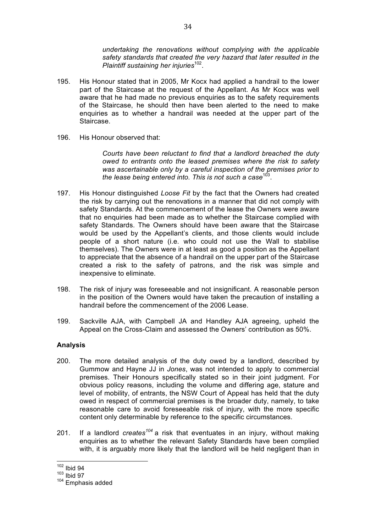*undertaking the renovations without complying with the applicable safety standards that created the very hazard that later resulted in the Plaintiff sustaining her injuries*<sup>102</sup>.

- 195. His Honour stated that in 2005, Mr Kocx had applied a handrail to the lower part of the Staircase at the request of the Appellant. As Mr Kocx was well aware that he had made no previous enquiries as to the safety requirements of the Staircase, he should then have been alerted to the need to make enquiries as to whether a handrail was needed at the upper part of the Staircase.
- 196. His Honour observed that:

*Courts have been reluctant to find that a landlord breached the duty owed to entrants onto the leased premises where the risk to safety was ascertainable only by a careful inspection of the premises prior to the lease being entered into. This is not such a case*<sup>103</sup>.

- 197. His Honour distinguished *Loose Fit* by the fact that the Owners had created the risk by carrying out the renovations in a manner that did not comply with safety Standards. At the commencement of the lease the Owners were aware that no enquiries had been made as to whether the Staircase complied with safety Standards. The Owners should have been aware that the Staircase would be used by the Appellant's clients, and those clients would include people of a short nature (i.e. who could not use the Wall to stabilise themselves). The Owners were in at least as good a position as the Appellant to appreciate that the absence of a handrail on the upper part of the Staircase created a risk to the safety of patrons, and the risk was simple and inexpensive to eliminate.
- 198. The risk of injury was foreseeable and not insignificant. A reasonable person in the position of the Owners would have taken the precaution of installing a handrail before the commencement of the 2006 Lease.
- 199. Sackville AJA, with Campbell JA and Handley AJA agreeing, upheld the Appeal on the Cross-Claim and assessed the Owners' contribution as 50%.

## **Analysis**

- 200. The more detailed analysis of the duty owed by a landlord, described by Gummow and Hayne JJ in *Jones*, was not intended to apply to commercial premises. Their Honours specifically stated so in their joint judgment. For obvious policy reasons, including the volume and differing age, stature and level of mobility, of entrants, the NSW Court of Appeal has held that the duty owed in respect of commercial premises is the broader duty, namely, to take reasonable care to avoid foreseeable risk of injury, with the more specific content only determinable by reference to the specific circumstances.
- 201. If a landlord *creates<sup>104</sup>* a risk that eventuates in an injury, without making enquiries as to whether the relevant Safety Standards have been complied with, it is arguably more likely that the landlord will be held negligent than in

 <sup>102</sup> Ibid 94

 $103$  Ibid 97

<sup>104</sup> Emphasis added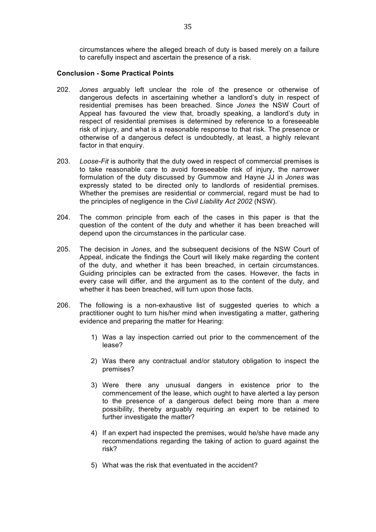circumstances where the alleged breach of duty is based merely on a failure to carefully inspect and ascertain the presence of a risk.

#### **Conclusion - Some Practical Points**

- 202. *Jones* arguably left unclear the role of the presence or otherwise of dangerous defects in ascertaining whether a landlord's duty in respect of residential premises has been breached. Since *Jones* the NSW Court of Appeal has favoured the view that, broadly speaking, a landlord's duty in respect of residential premises is determined by reference to a foreseeable risk of injury, and what is a reasonable response to that risk. The presence or otherwise of a dangerous defect is undoubtedly, at least, a highly relevant factor in that enquiry.
- 203. *Loose-Fit* is authority that the duty owed in respect of commercial premises is to take reasonable care to avoid foreseeable risk of injury, the narrower formulation of the duty discussed by Gummow and Hayne JJ in *Jones* was expressly stated to be directed only to landlords of residential premises. Whether the premises are residential or commercial, regard must be had to the principles of negligence in the *Civil Liability Act 2002* (NSW).
- 204. The common principle from each of the cases in this paper is that the question of the content of the duty and whether it has been breached will depend upon the circumstances in the particular case.
- 205. The decision in *Jones*, and the subsequent decisions of the NSW Court of Appeal, indicate the findings the Court will likely make regarding the content of the duty, and whether it has been breached, in certain circumstances. Guiding principles can be extracted from the cases. However, the facts in every case will differ, and the argument as to the content of the duty, and whether it has been breached, will turn upon those facts.
- 206. The following is a non-exhaustive list of suggested queries to which a practitioner ought to turn his/her mind when investigating a matter, gathering evidence and preparing the matter for Hearing:
	- 1) Was a lay inspection carried out prior to the commencement of the lease?
	- 2) Was there any contractual and/or statutory obligation to inspect the premises?
	- 3) Were there any unusual dangers in existence prior to the commencement of the lease, which ought to have alerted a lay person to the presence of a dangerous defect being more than a mere possibility, thereby arguably requiring an expert to be retained to further investigate the matter?
	- 4) If an expert had inspected the premises, would he/she have made any recommendations regarding the taking of action to guard against the risk?
	- 5) What was the risk that eventuated in the accident?